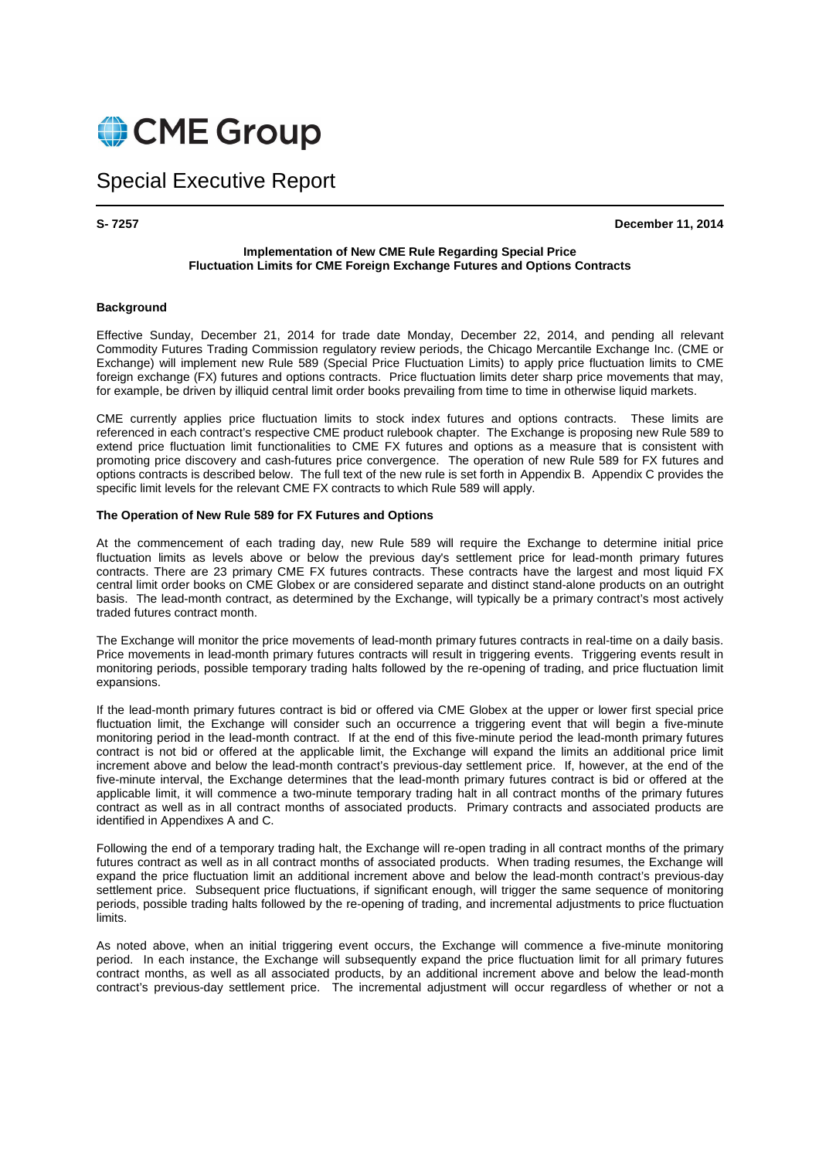

# Special Executive Report

**S- 7257 December 11, 2014** 

### **Implementation of New CME Rule Regarding Special Price Fluctuation Limits for CME Foreign Exchange Futures and Options Contracts**

#### **Background**

Effective Sunday, December 21, 2014 for trade date Monday, December 22, 2014, and pending all relevant Commodity Futures Trading Commission regulatory review periods, the Chicago Mercantile Exchange Inc. (CME or Exchange) will implement new Rule 589 (Special Price Fluctuation Limits) to apply price fluctuation limits to CME foreign exchange (FX) futures and options contracts. Price fluctuation limits deter sharp price movements that may, for example, be driven by illiquid central limit order books prevailing from time to time in otherwise liquid markets.

CME currently applies price fluctuation limits to stock index futures and options contracts. These limits are referenced in each contract's respective CME product rulebook chapter. The Exchange is proposing new Rule 589 to extend price fluctuation limit functionalities to CME FX futures and options as a measure that is consistent with promoting price discovery and cash-futures price convergence. The operation of new Rule 589 for FX futures and options contracts is described below. The full text of the new rule is set forth in Appendix B. Appendix C provides the specific limit levels for the relevant CME FX contracts to which Rule 589 will apply.

#### **The Operation of New Rule 589 for FX Futures and Options**

At the commencement of each trading day, new Rule 589 will require the Exchange to determine initial price fluctuation limits as levels above or below the previous day's settlement price for lead-month primary futures contracts. There are 23 primary CME FX futures contracts. These contracts have the largest and most liquid FX central limit order books on CME Globex or are considered separate and distinct stand-alone products on an outright basis. The lead-month contract, as determined by the Exchange, will typically be a primary contract's most actively traded futures contract month.

The Exchange will monitor the price movements of lead-month primary futures contracts in real-time on a daily basis. Price movements in lead-month primary futures contracts will result in triggering events. Triggering events result in monitoring periods, possible temporary trading halts followed by the re-opening of trading, and price fluctuation limit expansions.

If the lead-month primary futures contract is bid or offered via CME Globex at the upper or lower first special price fluctuation limit, the Exchange will consider such an occurrence a triggering event that will begin a five-minute monitoring period in the lead-month contract. If at the end of this five-minute period the lead-month primary futures contract is not bid or offered at the applicable limit, the Exchange will expand the limits an additional price limit increment above and below the lead-month contract's previous-day settlement price. If, however, at the end of the five-minute interval, the Exchange determines that the lead-month primary futures contract is bid or offered at the applicable limit, it will commence a two-minute temporary trading halt in all contract months of the primary futures contract as well as in all contract months of associated products. Primary contracts and associated products are identified in Appendixes A and C.

Following the end of a temporary trading halt, the Exchange will re-open trading in all contract months of the primary futures contract as well as in all contract months of associated products. When trading resumes, the Exchange will expand the price fluctuation limit an additional increment above and below the lead-month contract's previous-day settlement price. Subsequent price fluctuations, if significant enough, will trigger the same sequence of monitoring periods, possible trading halts followed by the re-opening of trading, and incremental adjustments to price fluctuation limits.

As noted above, when an initial triggering event occurs, the Exchange will commence a five-minute monitoring period. In each instance, the Exchange will subsequently expand the price fluctuation limit for all primary futures contract months, as well as all associated products, by an additional increment above and below the lead-month contract's previous-day settlement price. The incremental adjustment will occur regardless of whether or not a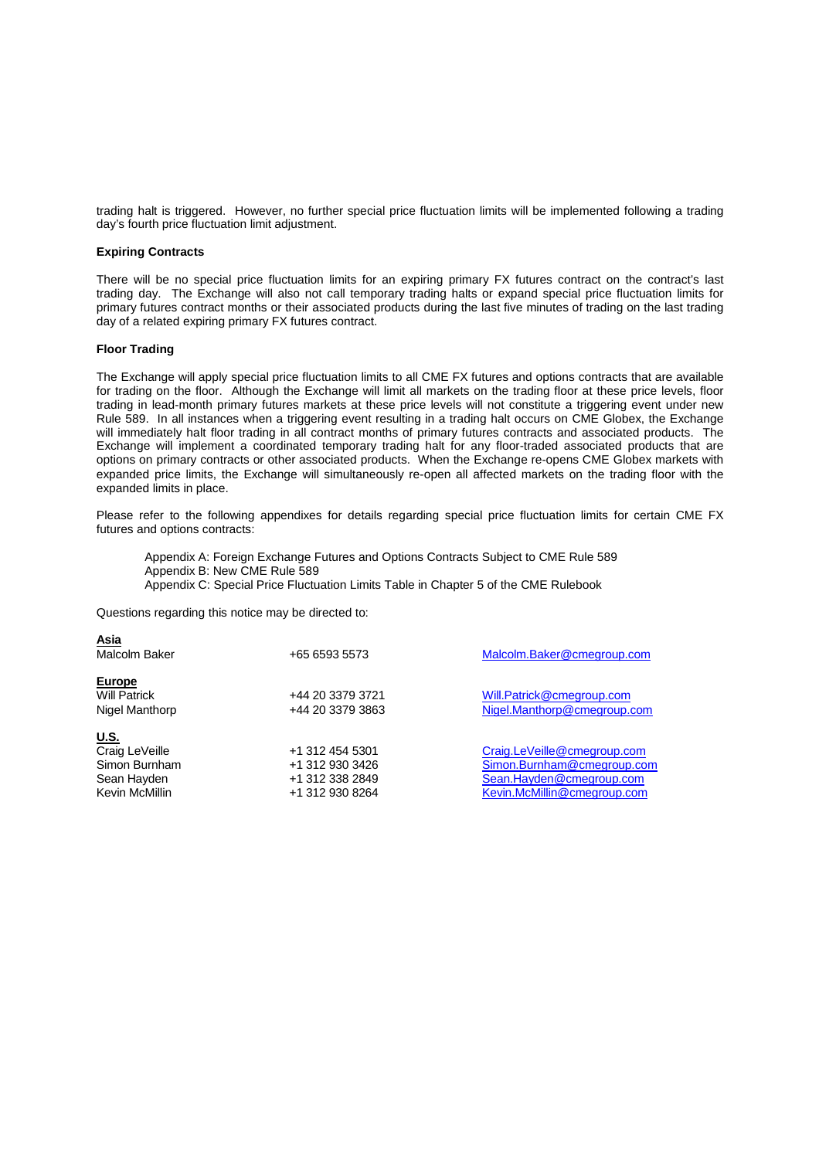trading halt is triggered. However, no further special price fluctuation limits will be implemented following a trading day's fourth price fluctuation limit adjustment.

#### **Expiring Contracts**

There will be no special price fluctuation limits for an expiring primary FX futures contract on the contract's last trading day. The Exchange will also not call temporary trading halts or expand special price fluctuation limits for primary futures contract months or their associated products during the last five minutes of trading on the last trading day of a related expiring primary FX futures contract.

#### **Floor Trading**

**Asia** 

The Exchange will apply special price fluctuation limits to all CME FX futures and options contracts that are available for trading on the floor. Although the Exchange will limit all markets on the trading floor at these price levels, floor trading in lead-month primary futures markets at these price levels will not constitute a triggering event under new Rule 589. In all instances when a triggering event resulting in a trading halt occurs on CME Globex, the Exchange will immediately halt floor trading in all contract months of primary futures contracts and associated products. The Exchange will implement a coordinated temporary trading halt for any floor-traded associated products that are options on primary contracts or other associated products. When the Exchange re-opens CME Globex markets with expanded price limits, the Exchange will simultaneously re-open all affected markets on the trading floor with the expanded limits in place.

Please refer to the following appendixes for details regarding special price fluctuation limits for certain CME FX futures and options contracts:

Appendix A: Foreign Exchange Futures and Options Contracts Subject to CME Rule 589 Appendix B: New CME Rule 589 Appendix C: Special Price Fluctuation Limits Table in Chapter 5 of the CME Rulebook

Questions regarding this notice may be directed to:

| <u>Asia</u><br>Malcolm Baker                                                    | +65 6593 5573                                                            | Malcolm.Baker@cmegroup.com                                                                                           |
|---------------------------------------------------------------------------------|--------------------------------------------------------------------------|----------------------------------------------------------------------------------------------------------------------|
| <b>Europe</b><br><b>Will Patrick</b><br>Nigel Manthorp                          | +44 20 3379 3721<br>+44 20 3379 3863                                     | Will.Patrick@cmegroup.com<br>Nigel.Manthorp@cmegroup.com                                                             |
| <u>U.S.</u><br>Craig LeVeille<br>Simon Burnham<br>Sean Hayden<br>Kevin McMillin | +1 312 454 5301<br>+1 312 930 3426<br>+1 312 338 2849<br>+1 312 930 8264 | Craig.LeVeille@cmegroup.com<br>Simon.Burnham@cmegroup.com<br>Sean.Hayden@cmegroup.com<br>Kevin.McMillin@cmegroup.com |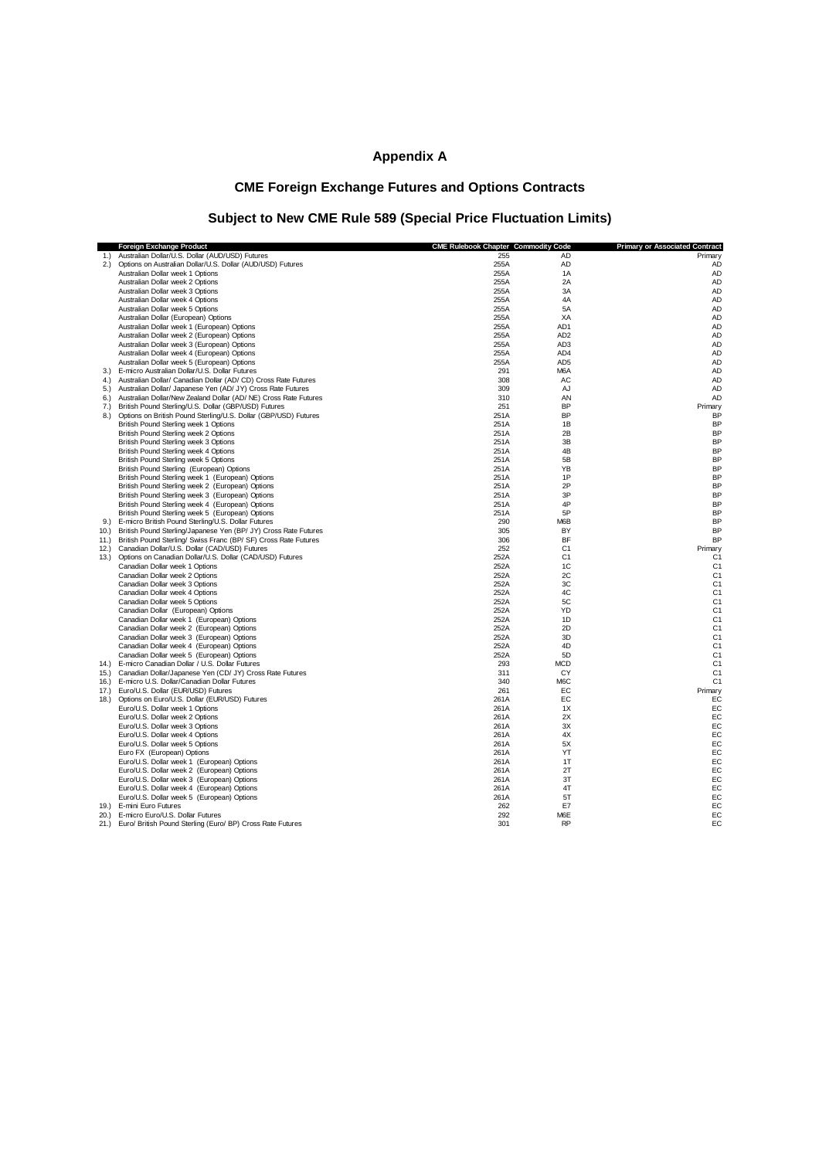# **Appendix A**

# **CME Foreign Exchange Futures and Options Contracts**

# **Subject to New CME Rule 589 (Special Price Fluctuation Limits)**

| 1.) Australian Dollar/U.S. Dollar (AUD/USD) Futures<br>255<br>AD<br>Primary<br>2.) Options on Australian Dollar/U.S. Dollar (AUD/USD) Futures<br>255A<br>AD<br>AD<br>Australian Dollar week 1 Options<br>255A<br>1A<br>AD<br>Australian Dollar week 2 Options<br>2A<br>AD<br>255A<br>3A<br><b>AD</b><br>255A<br>Australian Dollar week 3 Options<br>4A<br><b>AD</b><br>Australian Dollar week 4 Options<br>255A<br>5A<br>AD<br>Australian Dollar week 5 Options<br>255A<br>Australian Dollar (European) Options<br>255A<br>XA<br>AD<br>255A<br>AD1<br><b>AD</b><br>Australian Dollar week 1 (European) Options<br>Australian Dollar week 2 (European) Options<br>255A<br>AD <sub>2</sub><br><b>AD</b><br><b>AD</b><br>Australian Dollar week 3 (European) Options<br>255A<br>AD <sub>3</sub><br><b>AD</b><br>Australian Dollar week 4 (European) Options<br>255A<br>AD <sub>4</sub><br>Australian Dollar week 5 (European) Options<br>255A<br>AD <sub>5</sub><br><b>AD</b><br><b>AD</b><br>E-micro Australian Dollar/U.S. Dollar Futures<br>291<br>M6A<br>3.)<br>AD<br>4.) Australian Dollar/ Canadian Dollar (AD/ CD) Cross Rate Futures<br>308<br>AC<br><b>AD</b><br>5.) Australian Dollar/ Japanese Yen (AD/ JY) Cross Rate Futures<br>309<br>AJ<br>Australian Dollar/New Zealand Dollar (AD/NE) Cross Rate Futures<br>310<br><b>AD</b><br>6.<br>AN<br><b>BP</b><br>British Pound Sterling/U.S. Dollar (GBP/USD) Futures<br>251<br>7.)<br>Primary<br>Options on British Pound Sterling/U.S. Dollar (GBP/USD) Futures<br>251A<br>BP<br>BP<br>8.)<br>251A<br>1B<br><b>BP</b><br>British Pound Sterling week 1 Options<br><b>BP</b><br>British Pound Sterling week 2 Options<br>251A<br>2B<br>3B<br><b>BP</b><br>British Pound Sterling week 3 Options<br>251A<br>4B<br><b>BP</b><br>British Pound Sterling week 4 Options<br>251A<br><b>BP</b><br>British Pound Sterling week 5 Options<br>251A<br>5B<br><b>BP</b><br>British Pound Sterling (European) Options<br>251A<br>YB<br>British Pound Sterling week 1 (European) Options<br>251A<br>1P<br><b>BP</b><br>2P<br><b>BP</b><br>British Pound Sterling week 2 (European) Options<br>251A<br>3P<br><b>BP</b><br>British Pound Sterling week 3 (European) Options<br>251A<br><b>BP</b><br>4P<br>British Pound Sterling week 4 (European) Options<br>251A<br>5P<br><b>BP</b><br>British Pound Sterling week 5 (European) Options<br>251A<br>9.) E-micro British Pound Sterling/U.S. Dollar Futures<br>290<br>M6B<br><b>BP</b><br>10.) British Pound Sterling/Japanese Yen (BP/ JY) Cross Rate Futures<br>305<br>BY<br><b>BP</b><br>306<br>BF<br><b>BP</b><br>11.) British Pound Sterling/ Swiss Franc (BP/ SF) Cross Rate Futures<br>Canadian Dollar/U.S. Dollar (CAD/USD) Futures<br>252<br>C <sub>1</sub><br>Primary<br>12.)<br>Options on Canadian Dollar/U.S. Dollar (CAD/USD) Futures<br>252A<br>C <sub>1</sub><br>C <sub>1</sub><br>13.<br>C <sub>1</sub><br>Canadian Dollar week 1 Options<br>252A<br>1C<br>Canadian Dollar week 2 Options<br>252A<br>2C<br>C <sub>1</sub><br>C <sub>1</sub><br>3C<br>Canadian Dollar week 3 Options<br>252A<br>4C<br>C <sub>1</sub><br>Canadian Dollar week 4 Options<br>252A<br>5C<br>C <sub>1</sub><br>Canadian Dollar week 5 Options<br>252A<br>C <sub>1</sub><br>Canadian Dollar (European) Options<br>252A<br>YD<br>Canadian Dollar week 1 (European) Options<br>C <sub>1</sub><br>252A<br>1D<br>Canadian Dollar week 2 (European) Options<br>252A<br>2D<br>C <sub>1</sub><br>252A<br>3D<br>C <sub>1</sub><br>Canadian Dollar week 3 (European) Options<br>Canadian Dollar week 4 (European) Options<br>4D<br>C <sub>1</sub><br>252A<br>Canadian Dollar week 5 (European) Options<br>C <sub>1</sub><br>252A<br>5D<br>14.) E-micro Canadian Dollar / U.S. Dollar Futures<br>293<br><b>MCD</b><br>C <sub>1</sub><br>15.) Canadian Dollar/Japanese Yen (CD/ JY) Cross Rate Futures<br>311<br>CY<br>C <sub>1</sub><br>M6C<br>C <sub>1</sub><br>16.) E-micro U.S. Dollar/Canadian Dollar Futures<br>340<br>Euro/U.S. Dollar (EUR/USD) Futures<br>261<br>EC<br>Primary<br>17.)<br>EC<br>EC<br>18.<br>Options on Euro/U.S. Dollar (EUR/USD) Futures<br>261A<br>EC<br>Euro/U.S. Dollar week 1 Options<br>261A<br>1X<br>2X<br>EC<br>Euro/U.S. Dollar week 2 Options<br>261A<br>EC<br>Euro/U.S. Dollar week 3 Options<br>261A<br>3X<br>EC<br>Euro/U.S. Dollar week 4 Options<br>261A<br>4X<br>5X<br>EC<br>Euro/U.S. Dollar week 5 Options<br>261A<br>YT<br>EC<br>Euro FX (European) Options<br>261A<br>EC<br>Euro/U.S. Dollar week 1 (European) Options<br>261A<br>1T<br>Euro/U.S. Dollar week 2 (European) Options<br>261A<br>2T<br>EC<br>Euro/U.S. Dollar week 3 (European) Options<br>261A<br>3T<br>EC<br>Euro/U.S. Dollar week 4 (European) Options<br>4T<br>EC<br>261A<br>5T<br>EC<br>Euro/U.S. Dollar week 5 (European) Options<br>261A<br>19.) E-mini Euro Futures<br>262<br>E7<br>EC<br>EC<br>E-micro Euro/U.S. Dollar Futures<br>292<br>M6E<br>20.<br>EC<br>21.) Euro/ British Pound Sterling (Euro/ BP) Cross Rate Futures<br>301<br><b>RP</b> | Foreign Exchange Product | <b>CME Rulebook Chapter Commodity Code</b> | <b>Primary or Associated Contract</b> |
|----------------------------------------------------------------------------------------------------------------------------------------------------------------------------------------------------------------------------------------------------------------------------------------------------------------------------------------------------------------------------------------------------------------------------------------------------------------------------------------------------------------------------------------------------------------------------------------------------------------------------------------------------------------------------------------------------------------------------------------------------------------------------------------------------------------------------------------------------------------------------------------------------------------------------------------------------------------------------------------------------------------------------------------------------------------------------------------------------------------------------------------------------------------------------------------------------------------------------------------------------------------------------------------------------------------------------------------------------------------------------------------------------------------------------------------------------------------------------------------------------------------------------------------------------------------------------------------------------------------------------------------------------------------------------------------------------------------------------------------------------------------------------------------------------------------------------------------------------------------------------------------------------------------------------------------------------------------------------------------------------------------------------------------------------------------------------------------------------------------------------------------------------------------------------------------------------------------------------------------------------------------------------------------------------------------------------------------------------------------------------------------------------------------------------------------------------------------------------------------------------------------------------------------------------------------------------------------------------------------------------------------------------------------------------------------------------------------------------------------------------------------------------------------------------------------------------------------------------------------------------------------------------------------------------------------------------------------------------------------------------------------------------------------------------------------------------------------------------------------------------------------------------------------------------------------------------------------------------------------------------------------------------------------------------------------------------------------------------------------------------------------------------------------------------------------------------------------------------------------------------------------------------------------------------------------------------------------------------------------------------------------------------------------------------------------------------------------------------------------------------------------------------------------------------------------------------------------------------------------------------------------------------------------------------------------------------------------------------------------------------------------------------------------------------------------------------------------------------------------------------------------------------------------------------------------------------------------------------------------------------------------------------------------------------------------------------------------------------------------------------------------------------------------------------------------------------------------------------------------------------------------------------------------------------------------------------------------------------------------------------------------------------------------------------------------------------------------------------------------------------------------------------------------------------------------------------------------------------------------------------------------------------------------------------------------------------------------------------------------------------------------------------------------------|--------------------------|--------------------------------------------|---------------------------------------|
|                                                                                                                                                                                                                                                                                                                                                                                                                                                                                                                                                                                                                                                                                                                                                                                                                                                                                                                                                                                                                                                                                                                                                                                                                                                                                                                                                                                                                                                                                                                                                                                                                                                                                                                                                                                                                                                                                                                                                                                                                                                                                                                                                                                                                                                                                                                                                                                                                                                                                                                                                                                                                                                                                                                                                                                                                                                                                                                                                                                                                                                                                                                                                                                                                                                                                                                                                                                                                                                                                                                                                                                                                                                                                                                                                                                                                                                                                                                                                                                                                                                                                                                                                                                                                                                                                                                                                                                                                                                                                                                                                                                                                                                                                                                                                                                                                                                                                                                                                                                                                                              |                          |                                            |                                       |
|                                                                                                                                                                                                                                                                                                                                                                                                                                                                                                                                                                                                                                                                                                                                                                                                                                                                                                                                                                                                                                                                                                                                                                                                                                                                                                                                                                                                                                                                                                                                                                                                                                                                                                                                                                                                                                                                                                                                                                                                                                                                                                                                                                                                                                                                                                                                                                                                                                                                                                                                                                                                                                                                                                                                                                                                                                                                                                                                                                                                                                                                                                                                                                                                                                                                                                                                                                                                                                                                                                                                                                                                                                                                                                                                                                                                                                                                                                                                                                                                                                                                                                                                                                                                                                                                                                                                                                                                                                                                                                                                                                                                                                                                                                                                                                                                                                                                                                                                                                                                                                              |                          |                                            |                                       |
|                                                                                                                                                                                                                                                                                                                                                                                                                                                                                                                                                                                                                                                                                                                                                                                                                                                                                                                                                                                                                                                                                                                                                                                                                                                                                                                                                                                                                                                                                                                                                                                                                                                                                                                                                                                                                                                                                                                                                                                                                                                                                                                                                                                                                                                                                                                                                                                                                                                                                                                                                                                                                                                                                                                                                                                                                                                                                                                                                                                                                                                                                                                                                                                                                                                                                                                                                                                                                                                                                                                                                                                                                                                                                                                                                                                                                                                                                                                                                                                                                                                                                                                                                                                                                                                                                                                                                                                                                                                                                                                                                                                                                                                                                                                                                                                                                                                                                                                                                                                                                                              |                          |                                            |                                       |
|                                                                                                                                                                                                                                                                                                                                                                                                                                                                                                                                                                                                                                                                                                                                                                                                                                                                                                                                                                                                                                                                                                                                                                                                                                                                                                                                                                                                                                                                                                                                                                                                                                                                                                                                                                                                                                                                                                                                                                                                                                                                                                                                                                                                                                                                                                                                                                                                                                                                                                                                                                                                                                                                                                                                                                                                                                                                                                                                                                                                                                                                                                                                                                                                                                                                                                                                                                                                                                                                                                                                                                                                                                                                                                                                                                                                                                                                                                                                                                                                                                                                                                                                                                                                                                                                                                                                                                                                                                                                                                                                                                                                                                                                                                                                                                                                                                                                                                                                                                                                                                              |                          |                                            |                                       |
|                                                                                                                                                                                                                                                                                                                                                                                                                                                                                                                                                                                                                                                                                                                                                                                                                                                                                                                                                                                                                                                                                                                                                                                                                                                                                                                                                                                                                                                                                                                                                                                                                                                                                                                                                                                                                                                                                                                                                                                                                                                                                                                                                                                                                                                                                                                                                                                                                                                                                                                                                                                                                                                                                                                                                                                                                                                                                                                                                                                                                                                                                                                                                                                                                                                                                                                                                                                                                                                                                                                                                                                                                                                                                                                                                                                                                                                                                                                                                                                                                                                                                                                                                                                                                                                                                                                                                                                                                                                                                                                                                                                                                                                                                                                                                                                                                                                                                                                                                                                                                                              |                          |                                            |                                       |
|                                                                                                                                                                                                                                                                                                                                                                                                                                                                                                                                                                                                                                                                                                                                                                                                                                                                                                                                                                                                                                                                                                                                                                                                                                                                                                                                                                                                                                                                                                                                                                                                                                                                                                                                                                                                                                                                                                                                                                                                                                                                                                                                                                                                                                                                                                                                                                                                                                                                                                                                                                                                                                                                                                                                                                                                                                                                                                                                                                                                                                                                                                                                                                                                                                                                                                                                                                                                                                                                                                                                                                                                                                                                                                                                                                                                                                                                                                                                                                                                                                                                                                                                                                                                                                                                                                                                                                                                                                                                                                                                                                                                                                                                                                                                                                                                                                                                                                                                                                                                                                              |                          |                                            |                                       |
|                                                                                                                                                                                                                                                                                                                                                                                                                                                                                                                                                                                                                                                                                                                                                                                                                                                                                                                                                                                                                                                                                                                                                                                                                                                                                                                                                                                                                                                                                                                                                                                                                                                                                                                                                                                                                                                                                                                                                                                                                                                                                                                                                                                                                                                                                                                                                                                                                                                                                                                                                                                                                                                                                                                                                                                                                                                                                                                                                                                                                                                                                                                                                                                                                                                                                                                                                                                                                                                                                                                                                                                                                                                                                                                                                                                                                                                                                                                                                                                                                                                                                                                                                                                                                                                                                                                                                                                                                                                                                                                                                                                                                                                                                                                                                                                                                                                                                                                                                                                                                                              |                          |                                            |                                       |
|                                                                                                                                                                                                                                                                                                                                                                                                                                                                                                                                                                                                                                                                                                                                                                                                                                                                                                                                                                                                                                                                                                                                                                                                                                                                                                                                                                                                                                                                                                                                                                                                                                                                                                                                                                                                                                                                                                                                                                                                                                                                                                                                                                                                                                                                                                                                                                                                                                                                                                                                                                                                                                                                                                                                                                                                                                                                                                                                                                                                                                                                                                                                                                                                                                                                                                                                                                                                                                                                                                                                                                                                                                                                                                                                                                                                                                                                                                                                                                                                                                                                                                                                                                                                                                                                                                                                                                                                                                                                                                                                                                                                                                                                                                                                                                                                                                                                                                                                                                                                                                              |                          |                                            |                                       |
|                                                                                                                                                                                                                                                                                                                                                                                                                                                                                                                                                                                                                                                                                                                                                                                                                                                                                                                                                                                                                                                                                                                                                                                                                                                                                                                                                                                                                                                                                                                                                                                                                                                                                                                                                                                                                                                                                                                                                                                                                                                                                                                                                                                                                                                                                                                                                                                                                                                                                                                                                                                                                                                                                                                                                                                                                                                                                                                                                                                                                                                                                                                                                                                                                                                                                                                                                                                                                                                                                                                                                                                                                                                                                                                                                                                                                                                                                                                                                                                                                                                                                                                                                                                                                                                                                                                                                                                                                                                                                                                                                                                                                                                                                                                                                                                                                                                                                                                                                                                                                                              |                          |                                            |                                       |
|                                                                                                                                                                                                                                                                                                                                                                                                                                                                                                                                                                                                                                                                                                                                                                                                                                                                                                                                                                                                                                                                                                                                                                                                                                                                                                                                                                                                                                                                                                                                                                                                                                                                                                                                                                                                                                                                                                                                                                                                                                                                                                                                                                                                                                                                                                                                                                                                                                                                                                                                                                                                                                                                                                                                                                                                                                                                                                                                                                                                                                                                                                                                                                                                                                                                                                                                                                                                                                                                                                                                                                                                                                                                                                                                                                                                                                                                                                                                                                                                                                                                                                                                                                                                                                                                                                                                                                                                                                                                                                                                                                                                                                                                                                                                                                                                                                                                                                                                                                                                                                              |                          |                                            |                                       |
|                                                                                                                                                                                                                                                                                                                                                                                                                                                                                                                                                                                                                                                                                                                                                                                                                                                                                                                                                                                                                                                                                                                                                                                                                                                                                                                                                                                                                                                                                                                                                                                                                                                                                                                                                                                                                                                                                                                                                                                                                                                                                                                                                                                                                                                                                                                                                                                                                                                                                                                                                                                                                                                                                                                                                                                                                                                                                                                                                                                                                                                                                                                                                                                                                                                                                                                                                                                                                                                                                                                                                                                                                                                                                                                                                                                                                                                                                                                                                                                                                                                                                                                                                                                                                                                                                                                                                                                                                                                                                                                                                                                                                                                                                                                                                                                                                                                                                                                                                                                                                                              |                          |                                            |                                       |
|                                                                                                                                                                                                                                                                                                                                                                                                                                                                                                                                                                                                                                                                                                                                                                                                                                                                                                                                                                                                                                                                                                                                                                                                                                                                                                                                                                                                                                                                                                                                                                                                                                                                                                                                                                                                                                                                                                                                                                                                                                                                                                                                                                                                                                                                                                                                                                                                                                                                                                                                                                                                                                                                                                                                                                                                                                                                                                                                                                                                                                                                                                                                                                                                                                                                                                                                                                                                                                                                                                                                                                                                                                                                                                                                                                                                                                                                                                                                                                                                                                                                                                                                                                                                                                                                                                                                                                                                                                                                                                                                                                                                                                                                                                                                                                                                                                                                                                                                                                                                                                              |                          |                                            |                                       |
|                                                                                                                                                                                                                                                                                                                                                                                                                                                                                                                                                                                                                                                                                                                                                                                                                                                                                                                                                                                                                                                                                                                                                                                                                                                                                                                                                                                                                                                                                                                                                                                                                                                                                                                                                                                                                                                                                                                                                                                                                                                                                                                                                                                                                                                                                                                                                                                                                                                                                                                                                                                                                                                                                                                                                                                                                                                                                                                                                                                                                                                                                                                                                                                                                                                                                                                                                                                                                                                                                                                                                                                                                                                                                                                                                                                                                                                                                                                                                                                                                                                                                                                                                                                                                                                                                                                                                                                                                                                                                                                                                                                                                                                                                                                                                                                                                                                                                                                                                                                                                                              |                          |                                            |                                       |
|                                                                                                                                                                                                                                                                                                                                                                                                                                                                                                                                                                                                                                                                                                                                                                                                                                                                                                                                                                                                                                                                                                                                                                                                                                                                                                                                                                                                                                                                                                                                                                                                                                                                                                                                                                                                                                                                                                                                                                                                                                                                                                                                                                                                                                                                                                                                                                                                                                                                                                                                                                                                                                                                                                                                                                                                                                                                                                                                                                                                                                                                                                                                                                                                                                                                                                                                                                                                                                                                                                                                                                                                                                                                                                                                                                                                                                                                                                                                                                                                                                                                                                                                                                                                                                                                                                                                                                                                                                                                                                                                                                                                                                                                                                                                                                                                                                                                                                                                                                                                                                              |                          |                                            |                                       |
|                                                                                                                                                                                                                                                                                                                                                                                                                                                                                                                                                                                                                                                                                                                                                                                                                                                                                                                                                                                                                                                                                                                                                                                                                                                                                                                                                                                                                                                                                                                                                                                                                                                                                                                                                                                                                                                                                                                                                                                                                                                                                                                                                                                                                                                                                                                                                                                                                                                                                                                                                                                                                                                                                                                                                                                                                                                                                                                                                                                                                                                                                                                                                                                                                                                                                                                                                                                                                                                                                                                                                                                                                                                                                                                                                                                                                                                                                                                                                                                                                                                                                                                                                                                                                                                                                                                                                                                                                                                                                                                                                                                                                                                                                                                                                                                                                                                                                                                                                                                                                                              |                          |                                            |                                       |
|                                                                                                                                                                                                                                                                                                                                                                                                                                                                                                                                                                                                                                                                                                                                                                                                                                                                                                                                                                                                                                                                                                                                                                                                                                                                                                                                                                                                                                                                                                                                                                                                                                                                                                                                                                                                                                                                                                                                                                                                                                                                                                                                                                                                                                                                                                                                                                                                                                                                                                                                                                                                                                                                                                                                                                                                                                                                                                                                                                                                                                                                                                                                                                                                                                                                                                                                                                                                                                                                                                                                                                                                                                                                                                                                                                                                                                                                                                                                                                                                                                                                                                                                                                                                                                                                                                                                                                                                                                                                                                                                                                                                                                                                                                                                                                                                                                                                                                                                                                                                                                              |                          |                                            |                                       |
|                                                                                                                                                                                                                                                                                                                                                                                                                                                                                                                                                                                                                                                                                                                                                                                                                                                                                                                                                                                                                                                                                                                                                                                                                                                                                                                                                                                                                                                                                                                                                                                                                                                                                                                                                                                                                                                                                                                                                                                                                                                                                                                                                                                                                                                                                                                                                                                                                                                                                                                                                                                                                                                                                                                                                                                                                                                                                                                                                                                                                                                                                                                                                                                                                                                                                                                                                                                                                                                                                                                                                                                                                                                                                                                                                                                                                                                                                                                                                                                                                                                                                                                                                                                                                                                                                                                                                                                                                                                                                                                                                                                                                                                                                                                                                                                                                                                                                                                                                                                                                                              |                          |                                            |                                       |
|                                                                                                                                                                                                                                                                                                                                                                                                                                                                                                                                                                                                                                                                                                                                                                                                                                                                                                                                                                                                                                                                                                                                                                                                                                                                                                                                                                                                                                                                                                                                                                                                                                                                                                                                                                                                                                                                                                                                                                                                                                                                                                                                                                                                                                                                                                                                                                                                                                                                                                                                                                                                                                                                                                                                                                                                                                                                                                                                                                                                                                                                                                                                                                                                                                                                                                                                                                                                                                                                                                                                                                                                                                                                                                                                                                                                                                                                                                                                                                                                                                                                                                                                                                                                                                                                                                                                                                                                                                                                                                                                                                                                                                                                                                                                                                                                                                                                                                                                                                                                                                              |                          |                                            |                                       |
|                                                                                                                                                                                                                                                                                                                                                                                                                                                                                                                                                                                                                                                                                                                                                                                                                                                                                                                                                                                                                                                                                                                                                                                                                                                                                                                                                                                                                                                                                                                                                                                                                                                                                                                                                                                                                                                                                                                                                                                                                                                                                                                                                                                                                                                                                                                                                                                                                                                                                                                                                                                                                                                                                                                                                                                                                                                                                                                                                                                                                                                                                                                                                                                                                                                                                                                                                                                                                                                                                                                                                                                                                                                                                                                                                                                                                                                                                                                                                                                                                                                                                                                                                                                                                                                                                                                                                                                                                                                                                                                                                                                                                                                                                                                                                                                                                                                                                                                                                                                                                                              |                          |                                            |                                       |
|                                                                                                                                                                                                                                                                                                                                                                                                                                                                                                                                                                                                                                                                                                                                                                                                                                                                                                                                                                                                                                                                                                                                                                                                                                                                                                                                                                                                                                                                                                                                                                                                                                                                                                                                                                                                                                                                                                                                                                                                                                                                                                                                                                                                                                                                                                                                                                                                                                                                                                                                                                                                                                                                                                                                                                                                                                                                                                                                                                                                                                                                                                                                                                                                                                                                                                                                                                                                                                                                                                                                                                                                                                                                                                                                                                                                                                                                                                                                                                                                                                                                                                                                                                                                                                                                                                                                                                                                                                                                                                                                                                                                                                                                                                                                                                                                                                                                                                                                                                                                                                              |                          |                                            |                                       |
|                                                                                                                                                                                                                                                                                                                                                                                                                                                                                                                                                                                                                                                                                                                                                                                                                                                                                                                                                                                                                                                                                                                                                                                                                                                                                                                                                                                                                                                                                                                                                                                                                                                                                                                                                                                                                                                                                                                                                                                                                                                                                                                                                                                                                                                                                                                                                                                                                                                                                                                                                                                                                                                                                                                                                                                                                                                                                                                                                                                                                                                                                                                                                                                                                                                                                                                                                                                                                                                                                                                                                                                                                                                                                                                                                                                                                                                                                                                                                                                                                                                                                                                                                                                                                                                                                                                                                                                                                                                                                                                                                                                                                                                                                                                                                                                                                                                                                                                                                                                                                                              |                          |                                            |                                       |
|                                                                                                                                                                                                                                                                                                                                                                                                                                                                                                                                                                                                                                                                                                                                                                                                                                                                                                                                                                                                                                                                                                                                                                                                                                                                                                                                                                                                                                                                                                                                                                                                                                                                                                                                                                                                                                                                                                                                                                                                                                                                                                                                                                                                                                                                                                                                                                                                                                                                                                                                                                                                                                                                                                                                                                                                                                                                                                                                                                                                                                                                                                                                                                                                                                                                                                                                                                                                                                                                                                                                                                                                                                                                                                                                                                                                                                                                                                                                                                                                                                                                                                                                                                                                                                                                                                                                                                                                                                                                                                                                                                                                                                                                                                                                                                                                                                                                                                                                                                                                                                              |                          |                                            |                                       |
|                                                                                                                                                                                                                                                                                                                                                                                                                                                                                                                                                                                                                                                                                                                                                                                                                                                                                                                                                                                                                                                                                                                                                                                                                                                                                                                                                                                                                                                                                                                                                                                                                                                                                                                                                                                                                                                                                                                                                                                                                                                                                                                                                                                                                                                                                                                                                                                                                                                                                                                                                                                                                                                                                                                                                                                                                                                                                                                                                                                                                                                                                                                                                                                                                                                                                                                                                                                                                                                                                                                                                                                                                                                                                                                                                                                                                                                                                                                                                                                                                                                                                                                                                                                                                                                                                                                                                                                                                                                                                                                                                                                                                                                                                                                                                                                                                                                                                                                                                                                                                                              |                          |                                            |                                       |
|                                                                                                                                                                                                                                                                                                                                                                                                                                                                                                                                                                                                                                                                                                                                                                                                                                                                                                                                                                                                                                                                                                                                                                                                                                                                                                                                                                                                                                                                                                                                                                                                                                                                                                                                                                                                                                                                                                                                                                                                                                                                                                                                                                                                                                                                                                                                                                                                                                                                                                                                                                                                                                                                                                                                                                                                                                                                                                                                                                                                                                                                                                                                                                                                                                                                                                                                                                                                                                                                                                                                                                                                                                                                                                                                                                                                                                                                                                                                                                                                                                                                                                                                                                                                                                                                                                                                                                                                                                                                                                                                                                                                                                                                                                                                                                                                                                                                                                                                                                                                                                              |                          |                                            |                                       |
|                                                                                                                                                                                                                                                                                                                                                                                                                                                                                                                                                                                                                                                                                                                                                                                                                                                                                                                                                                                                                                                                                                                                                                                                                                                                                                                                                                                                                                                                                                                                                                                                                                                                                                                                                                                                                                                                                                                                                                                                                                                                                                                                                                                                                                                                                                                                                                                                                                                                                                                                                                                                                                                                                                                                                                                                                                                                                                                                                                                                                                                                                                                                                                                                                                                                                                                                                                                                                                                                                                                                                                                                                                                                                                                                                                                                                                                                                                                                                                                                                                                                                                                                                                                                                                                                                                                                                                                                                                                                                                                                                                                                                                                                                                                                                                                                                                                                                                                                                                                                                                              |                          |                                            |                                       |
|                                                                                                                                                                                                                                                                                                                                                                                                                                                                                                                                                                                                                                                                                                                                                                                                                                                                                                                                                                                                                                                                                                                                                                                                                                                                                                                                                                                                                                                                                                                                                                                                                                                                                                                                                                                                                                                                                                                                                                                                                                                                                                                                                                                                                                                                                                                                                                                                                                                                                                                                                                                                                                                                                                                                                                                                                                                                                                                                                                                                                                                                                                                                                                                                                                                                                                                                                                                                                                                                                                                                                                                                                                                                                                                                                                                                                                                                                                                                                                                                                                                                                                                                                                                                                                                                                                                                                                                                                                                                                                                                                                                                                                                                                                                                                                                                                                                                                                                                                                                                                                              |                          |                                            |                                       |
|                                                                                                                                                                                                                                                                                                                                                                                                                                                                                                                                                                                                                                                                                                                                                                                                                                                                                                                                                                                                                                                                                                                                                                                                                                                                                                                                                                                                                                                                                                                                                                                                                                                                                                                                                                                                                                                                                                                                                                                                                                                                                                                                                                                                                                                                                                                                                                                                                                                                                                                                                                                                                                                                                                                                                                                                                                                                                                                                                                                                                                                                                                                                                                                                                                                                                                                                                                                                                                                                                                                                                                                                                                                                                                                                                                                                                                                                                                                                                                                                                                                                                                                                                                                                                                                                                                                                                                                                                                                                                                                                                                                                                                                                                                                                                                                                                                                                                                                                                                                                                                              |                          |                                            |                                       |
|                                                                                                                                                                                                                                                                                                                                                                                                                                                                                                                                                                                                                                                                                                                                                                                                                                                                                                                                                                                                                                                                                                                                                                                                                                                                                                                                                                                                                                                                                                                                                                                                                                                                                                                                                                                                                                                                                                                                                                                                                                                                                                                                                                                                                                                                                                                                                                                                                                                                                                                                                                                                                                                                                                                                                                                                                                                                                                                                                                                                                                                                                                                                                                                                                                                                                                                                                                                                                                                                                                                                                                                                                                                                                                                                                                                                                                                                                                                                                                                                                                                                                                                                                                                                                                                                                                                                                                                                                                                                                                                                                                                                                                                                                                                                                                                                                                                                                                                                                                                                                                              |                          |                                            |                                       |
|                                                                                                                                                                                                                                                                                                                                                                                                                                                                                                                                                                                                                                                                                                                                                                                                                                                                                                                                                                                                                                                                                                                                                                                                                                                                                                                                                                                                                                                                                                                                                                                                                                                                                                                                                                                                                                                                                                                                                                                                                                                                                                                                                                                                                                                                                                                                                                                                                                                                                                                                                                                                                                                                                                                                                                                                                                                                                                                                                                                                                                                                                                                                                                                                                                                                                                                                                                                                                                                                                                                                                                                                                                                                                                                                                                                                                                                                                                                                                                                                                                                                                                                                                                                                                                                                                                                                                                                                                                                                                                                                                                                                                                                                                                                                                                                                                                                                                                                                                                                                                                              |                          |                                            |                                       |
|                                                                                                                                                                                                                                                                                                                                                                                                                                                                                                                                                                                                                                                                                                                                                                                                                                                                                                                                                                                                                                                                                                                                                                                                                                                                                                                                                                                                                                                                                                                                                                                                                                                                                                                                                                                                                                                                                                                                                                                                                                                                                                                                                                                                                                                                                                                                                                                                                                                                                                                                                                                                                                                                                                                                                                                                                                                                                                                                                                                                                                                                                                                                                                                                                                                                                                                                                                                                                                                                                                                                                                                                                                                                                                                                                                                                                                                                                                                                                                                                                                                                                                                                                                                                                                                                                                                                                                                                                                                                                                                                                                                                                                                                                                                                                                                                                                                                                                                                                                                                                                              |                          |                                            |                                       |
|                                                                                                                                                                                                                                                                                                                                                                                                                                                                                                                                                                                                                                                                                                                                                                                                                                                                                                                                                                                                                                                                                                                                                                                                                                                                                                                                                                                                                                                                                                                                                                                                                                                                                                                                                                                                                                                                                                                                                                                                                                                                                                                                                                                                                                                                                                                                                                                                                                                                                                                                                                                                                                                                                                                                                                                                                                                                                                                                                                                                                                                                                                                                                                                                                                                                                                                                                                                                                                                                                                                                                                                                                                                                                                                                                                                                                                                                                                                                                                                                                                                                                                                                                                                                                                                                                                                                                                                                                                                                                                                                                                                                                                                                                                                                                                                                                                                                                                                                                                                                                                              |                          |                                            |                                       |
|                                                                                                                                                                                                                                                                                                                                                                                                                                                                                                                                                                                                                                                                                                                                                                                                                                                                                                                                                                                                                                                                                                                                                                                                                                                                                                                                                                                                                                                                                                                                                                                                                                                                                                                                                                                                                                                                                                                                                                                                                                                                                                                                                                                                                                                                                                                                                                                                                                                                                                                                                                                                                                                                                                                                                                                                                                                                                                                                                                                                                                                                                                                                                                                                                                                                                                                                                                                                                                                                                                                                                                                                                                                                                                                                                                                                                                                                                                                                                                                                                                                                                                                                                                                                                                                                                                                                                                                                                                                                                                                                                                                                                                                                                                                                                                                                                                                                                                                                                                                                                                              |                          |                                            |                                       |
|                                                                                                                                                                                                                                                                                                                                                                                                                                                                                                                                                                                                                                                                                                                                                                                                                                                                                                                                                                                                                                                                                                                                                                                                                                                                                                                                                                                                                                                                                                                                                                                                                                                                                                                                                                                                                                                                                                                                                                                                                                                                                                                                                                                                                                                                                                                                                                                                                                                                                                                                                                                                                                                                                                                                                                                                                                                                                                                                                                                                                                                                                                                                                                                                                                                                                                                                                                                                                                                                                                                                                                                                                                                                                                                                                                                                                                                                                                                                                                                                                                                                                                                                                                                                                                                                                                                                                                                                                                                                                                                                                                                                                                                                                                                                                                                                                                                                                                                                                                                                                                              |                          |                                            |                                       |
|                                                                                                                                                                                                                                                                                                                                                                                                                                                                                                                                                                                                                                                                                                                                                                                                                                                                                                                                                                                                                                                                                                                                                                                                                                                                                                                                                                                                                                                                                                                                                                                                                                                                                                                                                                                                                                                                                                                                                                                                                                                                                                                                                                                                                                                                                                                                                                                                                                                                                                                                                                                                                                                                                                                                                                                                                                                                                                                                                                                                                                                                                                                                                                                                                                                                                                                                                                                                                                                                                                                                                                                                                                                                                                                                                                                                                                                                                                                                                                                                                                                                                                                                                                                                                                                                                                                                                                                                                                                                                                                                                                                                                                                                                                                                                                                                                                                                                                                                                                                                                                              |                          |                                            |                                       |
|                                                                                                                                                                                                                                                                                                                                                                                                                                                                                                                                                                                                                                                                                                                                                                                                                                                                                                                                                                                                                                                                                                                                                                                                                                                                                                                                                                                                                                                                                                                                                                                                                                                                                                                                                                                                                                                                                                                                                                                                                                                                                                                                                                                                                                                                                                                                                                                                                                                                                                                                                                                                                                                                                                                                                                                                                                                                                                                                                                                                                                                                                                                                                                                                                                                                                                                                                                                                                                                                                                                                                                                                                                                                                                                                                                                                                                                                                                                                                                                                                                                                                                                                                                                                                                                                                                                                                                                                                                                                                                                                                                                                                                                                                                                                                                                                                                                                                                                                                                                                                                              |                          |                                            |                                       |
|                                                                                                                                                                                                                                                                                                                                                                                                                                                                                                                                                                                                                                                                                                                                                                                                                                                                                                                                                                                                                                                                                                                                                                                                                                                                                                                                                                                                                                                                                                                                                                                                                                                                                                                                                                                                                                                                                                                                                                                                                                                                                                                                                                                                                                                                                                                                                                                                                                                                                                                                                                                                                                                                                                                                                                                                                                                                                                                                                                                                                                                                                                                                                                                                                                                                                                                                                                                                                                                                                                                                                                                                                                                                                                                                                                                                                                                                                                                                                                                                                                                                                                                                                                                                                                                                                                                                                                                                                                                                                                                                                                                                                                                                                                                                                                                                                                                                                                                                                                                                                                              |                          |                                            |                                       |
|                                                                                                                                                                                                                                                                                                                                                                                                                                                                                                                                                                                                                                                                                                                                                                                                                                                                                                                                                                                                                                                                                                                                                                                                                                                                                                                                                                                                                                                                                                                                                                                                                                                                                                                                                                                                                                                                                                                                                                                                                                                                                                                                                                                                                                                                                                                                                                                                                                                                                                                                                                                                                                                                                                                                                                                                                                                                                                                                                                                                                                                                                                                                                                                                                                                                                                                                                                                                                                                                                                                                                                                                                                                                                                                                                                                                                                                                                                                                                                                                                                                                                                                                                                                                                                                                                                                                                                                                                                                                                                                                                                                                                                                                                                                                                                                                                                                                                                                                                                                                                                              |                          |                                            |                                       |
|                                                                                                                                                                                                                                                                                                                                                                                                                                                                                                                                                                                                                                                                                                                                                                                                                                                                                                                                                                                                                                                                                                                                                                                                                                                                                                                                                                                                                                                                                                                                                                                                                                                                                                                                                                                                                                                                                                                                                                                                                                                                                                                                                                                                                                                                                                                                                                                                                                                                                                                                                                                                                                                                                                                                                                                                                                                                                                                                                                                                                                                                                                                                                                                                                                                                                                                                                                                                                                                                                                                                                                                                                                                                                                                                                                                                                                                                                                                                                                                                                                                                                                                                                                                                                                                                                                                                                                                                                                                                                                                                                                                                                                                                                                                                                                                                                                                                                                                                                                                                                                              |                          |                                            |                                       |
|                                                                                                                                                                                                                                                                                                                                                                                                                                                                                                                                                                                                                                                                                                                                                                                                                                                                                                                                                                                                                                                                                                                                                                                                                                                                                                                                                                                                                                                                                                                                                                                                                                                                                                                                                                                                                                                                                                                                                                                                                                                                                                                                                                                                                                                                                                                                                                                                                                                                                                                                                                                                                                                                                                                                                                                                                                                                                                                                                                                                                                                                                                                                                                                                                                                                                                                                                                                                                                                                                                                                                                                                                                                                                                                                                                                                                                                                                                                                                                                                                                                                                                                                                                                                                                                                                                                                                                                                                                                                                                                                                                                                                                                                                                                                                                                                                                                                                                                                                                                                                                              |                          |                                            |                                       |
|                                                                                                                                                                                                                                                                                                                                                                                                                                                                                                                                                                                                                                                                                                                                                                                                                                                                                                                                                                                                                                                                                                                                                                                                                                                                                                                                                                                                                                                                                                                                                                                                                                                                                                                                                                                                                                                                                                                                                                                                                                                                                                                                                                                                                                                                                                                                                                                                                                                                                                                                                                                                                                                                                                                                                                                                                                                                                                                                                                                                                                                                                                                                                                                                                                                                                                                                                                                                                                                                                                                                                                                                                                                                                                                                                                                                                                                                                                                                                                                                                                                                                                                                                                                                                                                                                                                                                                                                                                                                                                                                                                                                                                                                                                                                                                                                                                                                                                                                                                                                                                              |                          |                                            |                                       |
|                                                                                                                                                                                                                                                                                                                                                                                                                                                                                                                                                                                                                                                                                                                                                                                                                                                                                                                                                                                                                                                                                                                                                                                                                                                                                                                                                                                                                                                                                                                                                                                                                                                                                                                                                                                                                                                                                                                                                                                                                                                                                                                                                                                                                                                                                                                                                                                                                                                                                                                                                                                                                                                                                                                                                                                                                                                                                                                                                                                                                                                                                                                                                                                                                                                                                                                                                                                                                                                                                                                                                                                                                                                                                                                                                                                                                                                                                                                                                                                                                                                                                                                                                                                                                                                                                                                                                                                                                                                                                                                                                                                                                                                                                                                                                                                                                                                                                                                                                                                                                                              |                          |                                            |                                       |
|                                                                                                                                                                                                                                                                                                                                                                                                                                                                                                                                                                                                                                                                                                                                                                                                                                                                                                                                                                                                                                                                                                                                                                                                                                                                                                                                                                                                                                                                                                                                                                                                                                                                                                                                                                                                                                                                                                                                                                                                                                                                                                                                                                                                                                                                                                                                                                                                                                                                                                                                                                                                                                                                                                                                                                                                                                                                                                                                                                                                                                                                                                                                                                                                                                                                                                                                                                                                                                                                                                                                                                                                                                                                                                                                                                                                                                                                                                                                                                                                                                                                                                                                                                                                                                                                                                                                                                                                                                                                                                                                                                                                                                                                                                                                                                                                                                                                                                                                                                                                                                              |                          |                                            |                                       |
|                                                                                                                                                                                                                                                                                                                                                                                                                                                                                                                                                                                                                                                                                                                                                                                                                                                                                                                                                                                                                                                                                                                                                                                                                                                                                                                                                                                                                                                                                                                                                                                                                                                                                                                                                                                                                                                                                                                                                                                                                                                                                                                                                                                                                                                                                                                                                                                                                                                                                                                                                                                                                                                                                                                                                                                                                                                                                                                                                                                                                                                                                                                                                                                                                                                                                                                                                                                                                                                                                                                                                                                                                                                                                                                                                                                                                                                                                                                                                                                                                                                                                                                                                                                                                                                                                                                                                                                                                                                                                                                                                                                                                                                                                                                                                                                                                                                                                                                                                                                                                                              |                          |                                            |                                       |
|                                                                                                                                                                                                                                                                                                                                                                                                                                                                                                                                                                                                                                                                                                                                                                                                                                                                                                                                                                                                                                                                                                                                                                                                                                                                                                                                                                                                                                                                                                                                                                                                                                                                                                                                                                                                                                                                                                                                                                                                                                                                                                                                                                                                                                                                                                                                                                                                                                                                                                                                                                                                                                                                                                                                                                                                                                                                                                                                                                                                                                                                                                                                                                                                                                                                                                                                                                                                                                                                                                                                                                                                                                                                                                                                                                                                                                                                                                                                                                                                                                                                                                                                                                                                                                                                                                                                                                                                                                                                                                                                                                                                                                                                                                                                                                                                                                                                                                                                                                                                                                              |                          |                                            |                                       |
|                                                                                                                                                                                                                                                                                                                                                                                                                                                                                                                                                                                                                                                                                                                                                                                                                                                                                                                                                                                                                                                                                                                                                                                                                                                                                                                                                                                                                                                                                                                                                                                                                                                                                                                                                                                                                                                                                                                                                                                                                                                                                                                                                                                                                                                                                                                                                                                                                                                                                                                                                                                                                                                                                                                                                                                                                                                                                                                                                                                                                                                                                                                                                                                                                                                                                                                                                                                                                                                                                                                                                                                                                                                                                                                                                                                                                                                                                                                                                                                                                                                                                                                                                                                                                                                                                                                                                                                                                                                                                                                                                                                                                                                                                                                                                                                                                                                                                                                                                                                                                                              |                          |                                            |                                       |
|                                                                                                                                                                                                                                                                                                                                                                                                                                                                                                                                                                                                                                                                                                                                                                                                                                                                                                                                                                                                                                                                                                                                                                                                                                                                                                                                                                                                                                                                                                                                                                                                                                                                                                                                                                                                                                                                                                                                                                                                                                                                                                                                                                                                                                                                                                                                                                                                                                                                                                                                                                                                                                                                                                                                                                                                                                                                                                                                                                                                                                                                                                                                                                                                                                                                                                                                                                                                                                                                                                                                                                                                                                                                                                                                                                                                                                                                                                                                                                                                                                                                                                                                                                                                                                                                                                                                                                                                                                                                                                                                                                                                                                                                                                                                                                                                                                                                                                                                                                                                                                              |                          |                                            |                                       |
|                                                                                                                                                                                                                                                                                                                                                                                                                                                                                                                                                                                                                                                                                                                                                                                                                                                                                                                                                                                                                                                                                                                                                                                                                                                                                                                                                                                                                                                                                                                                                                                                                                                                                                                                                                                                                                                                                                                                                                                                                                                                                                                                                                                                                                                                                                                                                                                                                                                                                                                                                                                                                                                                                                                                                                                                                                                                                                                                                                                                                                                                                                                                                                                                                                                                                                                                                                                                                                                                                                                                                                                                                                                                                                                                                                                                                                                                                                                                                                                                                                                                                                                                                                                                                                                                                                                                                                                                                                                                                                                                                                                                                                                                                                                                                                                                                                                                                                                                                                                                                                              |                          |                                            |                                       |
|                                                                                                                                                                                                                                                                                                                                                                                                                                                                                                                                                                                                                                                                                                                                                                                                                                                                                                                                                                                                                                                                                                                                                                                                                                                                                                                                                                                                                                                                                                                                                                                                                                                                                                                                                                                                                                                                                                                                                                                                                                                                                                                                                                                                                                                                                                                                                                                                                                                                                                                                                                                                                                                                                                                                                                                                                                                                                                                                                                                                                                                                                                                                                                                                                                                                                                                                                                                                                                                                                                                                                                                                                                                                                                                                                                                                                                                                                                                                                                                                                                                                                                                                                                                                                                                                                                                                                                                                                                                                                                                                                                                                                                                                                                                                                                                                                                                                                                                                                                                                                                              |                          |                                            |                                       |
|                                                                                                                                                                                                                                                                                                                                                                                                                                                                                                                                                                                                                                                                                                                                                                                                                                                                                                                                                                                                                                                                                                                                                                                                                                                                                                                                                                                                                                                                                                                                                                                                                                                                                                                                                                                                                                                                                                                                                                                                                                                                                                                                                                                                                                                                                                                                                                                                                                                                                                                                                                                                                                                                                                                                                                                                                                                                                                                                                                                                                                                                                                                                                                                                                                                                                                                                                                                                                                                                                                                                                                                                                                                                                                                                                                                                                                                                                                                                                                                                                                                                                                                                                                                                                                                                                                                                                                                                                                                                                                                                                                                                                                                                                                                                                                                                                                                                                                                                                                                                                                              |                          |                                            |                                       |
|                                                                                                                                                                                                                                                                                                                                                                                                                                                                                                                                                                                                                                                                                                                                                                                                                                                                                                                                                                                                                                                                                                                                                                                                                                                                                                                                                                                                                                                                                                                                                                                                                                                                                                                                                                                                                                                                                                                                                                                                                                                                                                                                                                                                                                                                                                                                                                                                                                                                                                                                                                                                                                                                                                                                                                                                                                                                                                                                                                                                                                                                                                                                                                                                                                                                                                                                                                                                                                                                                                                                                                                                                                                                                                                                                                                                                                                                                                                                                                                                                                                                                                                                                                                                                                                                                                                                                                                                                                                                                                                                                                                                                                                                                                                                                                                                                                                                                                                                                                                                                                              |                          |                                            |                                       |
|                                                                                                                                                                                                                                                                                                                                                                                                                                                                                                                                                                                                                                                                                                                                                                                                                                                                                                                                                                                                                                                                                                                                                                                                                                                                                                                                                                                                                                                                                                                                                                                                                                                                                                                                                                                                                                                                                                                                                                                                                                                                                                                                                                                                                                                                                                                                                                                                                                                                                                                                                                                                                                                                                                                                                                                                                                                                                                                                                                                                                                                                                                                                                                                                                                                                                                                                                                                                                                                                                                                                                                                                                                                                                                                                                                                                                                                                                                                                                                                                                                                                                                                                                                                                                                                                                                                                                                                                                                                                                                                                                                                                                                                                                                                                                                                                                                                                                                                                                                                                                                              |                          |                                            |                                       |
|                                                                                                                                                                                                                                                                                                                                                                                                                                                                                                                                                                                                                                                                                                                                                                                                                                                                                                                                                                                                                                                                                                                                                                                                                                                                                                                                                                                                                                                                                                                                                                                                                                                                                                                                                                                                                                                                                                                                                                                                                                                                                                                                                                                                                                                                                                                                                                                                                                                                                                                                                                                                                                                                                                                                                                                                                                                                                                                                                                                                                                                                                                                                                                                                                                                                                                                                                                                                                                                                                                                                                                                                                                                                                                                                                                                                                                                                                                                                                                                                                                                                                                                                                                                                                                                                                                                                                                                                                                                                                                                                                                                                                                                                                                                                                                                                                                                                                                                                                                                                                                              |                          |                                            |                                       |
|                                                                                                                                                                                                                                                                                                                                                                                                                                                                                                                                                                                                                                                                                                                                                                                                                                                                                                                                                                                                                                                                                                                                                                                                                                                                                                                                                                                                                                                                                                                                                                                                                                                                                                                                                                                                                                                                                                                                                                                                                                                                                                                                                                                                                                                                                                                                                                                                                                                                                                                                                                                                                                                                                                                                                                                                                                                                                                                                                                                                                                                                                                                                                                                                                                                                                                                                                                                                                                                                                                                                                                                                                                                                                                                                                                                                                                                                                                                                                                                                                                                                                                                                                                                                                                                                                                                                                                                                                                                                                                                                                                                                                                                                                                                                                                                                                                                                                                                                                                                                                                              |                          |                                            |                                       |
|                                                                                                                                                                                                                                                                                                                                                                                                                                                                                                                                                                                                                                                                                                                                                                                                                                                                                                                                                                                                                                                                                                                                                                                                                                                                                                                                                                                                                                                                                                                                                                                                                                                                                                                                                                                                                                                                                                                                                                                                                                                                                                                                                                                                                                                                                                                                                                                                                                                                                                                                                                                                                                                                                                                                                                                                                                                                                                                                                                                                                                                                                                                                                                                                                                                                                                                                                                                                                                                                                                                                                                                                                                                                                                                                                                                                                                                                                                                                                                                                                                                                                                                                                                                                                                                                                                                                                                                                                                                                                                                                                                                                                                                                                                                                                                                                                                                                                                                                                                                                                                              |                          |                                            |                                       |
|                                                                                                                                                                                                                                                                                                                                                                                                                                                                                                                                                                                                                                                                                                                                                                                                                                                                                                                                                                                                                                                                                                                                                                                                                                                                                                                                                                                                                                                                                                                                                                                                                                                                                                                                                                                                                                                                                                                                                                                                                                                                                                                                                                                                                                                                                                                                                                                                                                                                                                                                                                                                                                                                                                                                                                                                                                                                                                                                                                                                                                                                                                                                                                                                                                                                                                                                                                                                                                                                                                                                                                                                                                                                                                                                                                                                                                                                                                                                                                                                                                                                                                                                                                                                                                                                                                                                                                                                                                                                                                                                                                                                                                                                                                                                                                                                                                                                                                                                                                                                                                              |                          |                                            |                                       |
|                                                                                                                                                                                                                                                                                                                                                                                                                                                                                                                                                                                                                                                                                                                                                                                                                                                                                                                                                                                                                                                                                                                                                                                                                                                                                                                                                                                                                                                                                                                                                                                                                                                                                                                                                                                                                                                                                                                                                                                                                                                                                                                                                                                                                                                                                                                                                                                                                                                                                                                                                                                                                                                                                                                                                                                                                                                                                                                                                                                                                                                                                                                                                                                                                                                                                                                                                                                                                                                                                                                                                                                                                                                                                                                                                                                                                                                                                                                                                                                                                                                                                                                                                                                                                                                                                                                                                                                                                                                                                                                                                                                                                                                                                                                                                                                                                                                                                                                                                                                                                                              |                          |                                            |                                       |
|                                                                                                                                                                                                                                                                                                                                                                                                                                                                                                                                                                                                                                                                                                                                                                                                                                                                                                                                                                                                                                                                                                                                                                                                                                                                                                                                                                                                                                                                                                                                                                                                                                                                                                                                                                                                                                                                                                                                                                                                                                                                                                                                                                                                                                                                                                                                                                                                                                                                                                                                                                                                                                                                                                                                                                                                                                                                                                                                                                                                                                                                                                                                                                                                                                                                                                                                                                                                                                                                                                                                                                                                                                                                                                                                                                                                                                                                                                                                                                                                                                                                                                                                                                                                                                                                                                                                                                                                                                                                                                                                                                                                                                                                                                                                                                                                                                                                                                                                                                                                                                              |                          |                                            |                                       |
|                                                                                                                                                                                                                                                                                                                                                                                                                                                                                                                                                                                                                                                                                                                                                                                                                                                                                                                                                                                                                                                                                                                                                                                                                                                                                                                                                                                                                                                                                                                                                                                                                                                                                                                                                                                                                                                                                                                                                                                                                                                                                                                                                                                                                                                                                                                                                                                                                                                                                                                                                                                                                                                                                                                                                                                                                                                                                                                                                                                                                                                                                                                                                                                                                                                                                                                                                                                                                                                                                                                                                                                                                                                                                                                                                                                                                                                                                                                                                                                                                                                                                                                                                                                                                                                                                                                                                                                                                                                                                                                                                                                                                                                                                                                                                                                                                                                                                                                                                                                                                                              |                          |                                            |                                       |
|                                                                                                                                                                                                                                                                                                                                                                                                                                                                                                                                                                                                                                                                                                                                                                                                                                                                                                                                                                                                                                                                                                                                                                                                                                                                                                                                                                                                                                                                                                                                                                                                                                                                                                                                                                                                                                                                                                                                                                                                                                                                                                                                                                                                                                                                                                                                                                                                                                                                                                                                                                                                                                                                                                                                                                                                                                                                                                                                                                                                                                                                                                                                                                                                                                                                                                                                                                                                                                                                                                                                                                                                                                                                                                                                                                                                                                                                                                                                                                                                                                                                                                                                                                                                                                                                                                                                                                                                                                                                                                                                                                                                                                                                                                                                                                                                                                                                                                                                                                                                                                              |                          |                                            |                                       |
|                                                                                                                                                                                                                                                                                                                                                                                                                                                                                                                                                                                                                                                                                                                                                                                                                                                                                                                                                                                                                                                                                                                                                                                                                                                                                                                                                                                                                                                                                                                                                                                                                                                                                                                                                                                                                                                                                                                                                                                                                                                                                                                                                                                                                                                                                                                                                                                                                                                                                                                                                                                                                                                                                                                                                                                                                                                                                                                                                                                                                                                                                                                                                                                                                                                                                                                                                                                                                                                                                                                                                                                                                                                                                                                                                                                                                                                                                                                                                                                                                                                                                                                                                                                                                                                                                                                                                                                                                                                                                                                                                                                                                                                                                                                                                                                                                                                                                                                                                                                                                                              |                          |                                            |                                       |
|                                                                                                                                                                                                                                                                                                                                                                                                                                                                                                                                                                                                                                                                                                                                                                                                                                                                                                                                                                                                                                                                                                                                                                                                                                                                                                                                                                                                                                                                                                                                                                                                                                                                                                                                                                                                                                                                                                                                                                                                                                                                                                                                                                                                                                                                                                                                                                                                                                                                                                                                                                                                                                                                                                                                                                                                                                                                                                                                                                                                                                                                                                                                                                                                                                                                                                                                                                                                                                                                                                                                                                                                                                                                                                                                                                                                                                                                                                                                                                                                                                                                                                                                                                                                                                                                                                                                                                                                                                                                                                                                                                                                                                                                                                                                                                                                                                                                                                                                                                                                                                              |                          |                                            |                                       |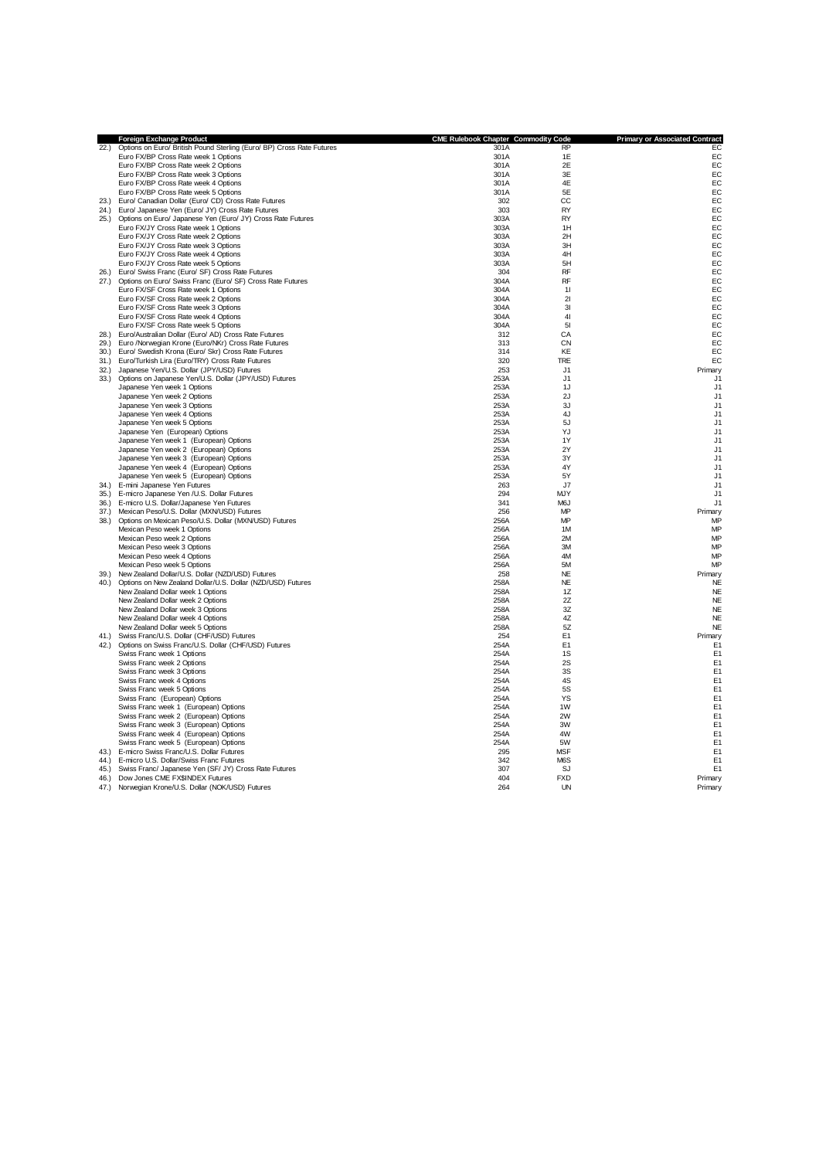|      | Foreign Exchange Product                                              | <b>CME Rulebook Chapter Commodity Code</b> |                  | <b>Primary or Associated Contract</b> |
|------|-----------------------------------------------------------------------|--------------------------------------------|------------------|---------------------------------------|
| 22.) | Options on Euro/ British Pound Sterling (Euro/ BP) Cross Rate Futures | 301A                                       | <b>RP</b>        | EC                                    |
|      | Euro FX/BP Cross Rate week 1 Options                                  | 301A                                       | 1E               | EC                                    |
|      | Euro FX/BP Cross Rate week 2 Options                                  | 301A                                       | 2E               | EC                                    |
|      | Euro FX/BP Cross Rate week 3 Options                                  | 301A                                       | 3E               | EC                                    |
|      | Euro FX/BP Cross Rate week 4 Options                                  | 301A                                       | 4E               | EC                                    |
|      | Euro FX/BP Cross Rate week 5 Options                                  | 301A                                       | 5E               | EC                                    |
| 23.1 | Euro/ Canadian Dollar (Euro/ CD) Cross Rate Futures                   | 302                                        | CC               | EC                                    |
| 24.) | Euro/ Japanese Yen (Euro/ JY) Cross Rate Futures                      | 303                                        | <b>RY</b>        | EC                                    |
| 25.  | Options on Euro/ Japanese Yen (Euro/ JY) Cross Rate Futures           | 303A                                       | <b>RY</b>        | EC                                    |
|      | Euro FX/JY Cross Rate week 1 Options                                  | 303A                                       | 1H               | EC                                    |
|      | Euro FX/JY Cross Rate week 2 Options                                  | 303A                                       | 2H               | EC                                    |
|      | Euro FX/JY Cross Rate week 3 Options                                  | 303A                                       | 3H               | EC                                    |
|      | Euro FX/JY Cross Rate week 4 Options                                  | 303A                                       | 4H               | EC                                    |
|      | Euro FX/JY Cross Rate week 5 Options                                  | 303A                                       | 5H               | EC                                    |
|      | 26.) Euro/ Swiss Franc (Euro/ SF) Cross Rate Futures                  | 304                                        | <b>RF</b>        | EC                                    |
|      | 27.) Options on Euro/ Swiss Franc (Euro/ SF) Cross Rate Futures       | 304A                                       | <b>RF</b>        | EC                                    |
|      | Euro FX/SF Cross Rate week 1 Options                                  | 304A                                       | 11               | EC                                    |
|      | Euro FX/SF Cross Rate week 2 Options                                  | 304A                                       | 21               | EC                                    |
|      | Euro FX/SF Cross Rate week 3 Options                                  | 304A                                       | 3I               | EC                                    |
|      | Euro FX/SF Cross Rate week 4 Options                                  | 304A                                       | 41               | EC                                    |
|      | Euro FX/SF Cross Rate week 5 Options                                  | 304A                                       | 51               | EC                                    |
| 28.  | Euro/Australian Dollar (Euro/ AD) Cross Rate Futures                  | 312                                        | CA               | EC                                    |
| 29.) | Euro /Norwegian Krone (Euro/NKr) Cross Rate Futures                   | 313                                        | <b>CN</b>        | EC                                    |
|      | 30.) Euro/ Swedish Krona (Euro/ Skr) Cross Rate Futures               | 314                                        | KE               | EC                                    |
|      | 31.) Euro/Turkish Lira (Euro/TRY) Cross Rate Futures                  | 320                                        | <b>TRE</b>       | EC                                    |
|      | 32.) Japanese Yen/U.S. Dollar (JPY/USD) Futures                       | 253                                        | .11              | Primary                               |
|      | 33.) Options on Japanese Yen/U.S. Dollar (JPY/USD) Futures            | 253A                                       | J <sub>1</sub>   | J1                                    |
|      | Japanese Yen week 1 Options                                           | 253A                                       | 1J               | J1                                    |
|      | Japanese Yen week 2 Options                                           | 253A                                       | 2J               | J1                                    |
|      | Japanese Yen week 3 Options                                           | 253A                                       | 3J               | J1                                    |
|      | Japanese Yen week 4 Options                                           | 253A                                       | 4J               | J1                                    |
|      | Japanese Yen week 5 Options                                           | 253A                                       | 5J               | J1                                    |
|      | Japanese Yen (European) Options                                       | 253A                                       | YJ               | J1                                    |
|      | Japanese Yen week 1 (European) Options                                | 253A                                       | 1Y               | J1                                    |
|      | Japanese Yen week 2 (European) Options                                | 253A                                       | 2Y               | J1                                    |
|      | Japanese Yen week 3 (European) Options                                | 253A                                       | 3Y               | J <sub>1</sub>                        |
|      | Japanese Yen week 4 (European) Options                                | 253A                                       | 4Y               | J <sub>1</sub>                        |
|      | Japanese Yen week 5 (European) Options                                | 253A                                       | 5Y               | J <sub>1</sub>                        |
| 34.) | E-mini Japanese Yen Futures                                           | 263                                        | J7               | J1                                    |
|      | 35.) E-micro Japanese Yen /U.S. Dollar Futures                        | 294                                        | <b>MJY</b>       | J <sub>1</sub>                        |
|      | 36.) E-micro U.S. Dollar/Japanese Yen Futures                         | 341                                        | M <sub>6</sub> J | J <sub>1</sub>                        |
| 37.  | Mexican Peso/U.S. Dollar (MXN/USD) Futures                            | 256                                        | MP               | Primary                               |
| 38.) | Options on Mexican Peso/U.S. Dollar (MXN/USD) Futures                 | 256A                                       | MP               | MP                                    |
|      | Mexican Peso week 1 Options                                           | 256A                                       | 1M               | MP                                    |
|      | Mexican Peso week 2 Options                                           | 256A                                       | 2M               | MP                                    |
|      | Mexican Peso week 3 Options                                           | 256A                                       | 3M               | MP                                    |
|      | Mexican Peso week 4 Options                                           | 256A                                       | 4M               | MP                                    |
|      | Mexican Peso week 5 Options                                           | 256A                                       | 5M               | MP                                    |
| 39.  | New Zealand Dollar/U.S. Dollar (NZD/USD) Futures                      | 258                                        | <b>NE</b>        | Primary                               |
| 40.  | Options on New Zealand Dollar/U.S. Dollar (NZD/USD) Futures           | 258A                                       | <b>NE</b>        | <b>NE</b>                             |
|      | New Zealand Dollar week 1 Options                                     | 258A                                       | 1Z               | <b>NE</b>                             |
|      | New Zealand Dollar week 2 Options                                     | 258A                                       | 2Z               | <b>NE</b>                             |
|      | New Zealand Dollar week 3 Options                                     | 258A                                       | 3Z               | <b>NE</b>                             |
|      | New Zealand Dollar week 4 Options                                     | 258A                                       | 4Z               | <b>NE</b>                             |
|      | New Zealand Dollar week 5 Options                                     | 258A                                       | 5Z               | <b>NE</b>                             |
| 41.) | Swiss Franc/U.S. Dollar (CHF/USD) Futures                             | 254                                        | E <sub>1</sub>   | Primary                               |
|      | 42.) Options on Swiss Franc/U.S. Dollar (CHF/USD) Futures             | 254A                                       | E <sub>1</sub>   | E <sub>1</sub>                        |
|      | Swiss Franc week 1 Options                                            | 254A                                       | 1S               | E <sub>1</sub>                        |
|      | Swiss Franc week 2 Options                                            | 254A                                       | 2S               | E <sub>1</sub>                        |
|      | Swiss Franc week 3 Options                                            | 254A                                       | 3S               | E <sub>1</sub>                        |
|      | Swiss Franc week 4 Options                                            | 254A                                       | 4S               | E <sub>1</sub>                        |
|      | Swiss Franc week 5 Options                                            | 254A                                       | <b>5S</b>        | E <sub>1</sub>                        |
|      | Swiss Franc (European) Options                                        | 254A                                       | YS               | E <sub>1</sub>                        |
|      | Swiss Franc week 1 (European) Options                                 | 254A                                       | 1W               | E <sub>1</sub>                        |
|      | Swiss Franc week 2 (European) Options                                 | 254A                                       | 2W               | E <sub>1</sub>                        |
|      | Swiss Franc week 3 (European) Options                                 | 254A                                       | 3W               | E <sub>1</sub>                        |
|      | Swiss Franc week 4 (European) Options                                 | 254A                                       | 4W               | E <sub>1</sub>                        |
|      | Swiss Franc week 5 (European) Options                                 | 254A                                       | 5W               | E <sub>1</sub>                        |
| 43.1 | E-micro Swiss Franc/U.S. Dollar Futures                               | 295                                        | <b>MSF</b>       | E <sub>1</sub>                        |
| (44) | E-micro U.S. Dollar/Swiss Franc Futures                               | 342                                        | M6S              | E <sub>1</sub>                        |
| 45.  | Swiss Franc/ Japanese Yen (SF/ JY) Cross Rate Futures                 | 307                                        | SJ               | E1                                    |
| 46.  | Dow Jones CME FX\$INDEX Futures                                       | 404                                        | <b>FXD</b>       | Primary                               |
| 47.  | Norwegian Krone/U.S. Dollar (NOK/USD) Futures                         | 264                                        | UN               | Primary                               |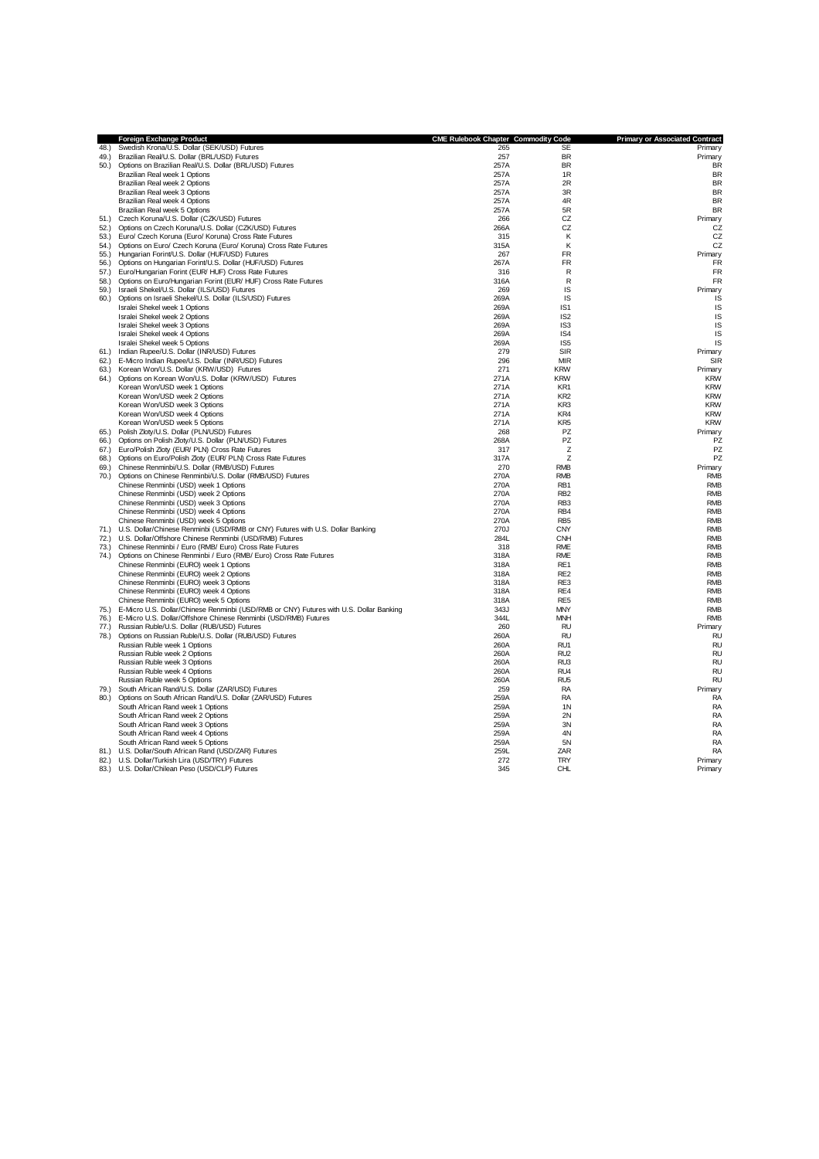|      | Foreign Exchange Product                                                                    | <b>CME Rulebook Chapter Commodity Code</b> |                                    | <b>Primary or Associated Contract</b> |
|------|---------------------------------------------------------------------------------------------|--------------------------------------------|------------------------------------|---------------------------------------|
| 48.) | Swedish Krona/U.S. Dollar (SEK/USD) Futures                                                 | 265                                        | SE                                 | Primary                               |
| 49.1 | Brazilian Real/U.S. Dollar (BRL/USD) Futures                                                | 257                                        | <b>BR</b>                          | Primary                               |
| 50.  | Options on Brazilian Real/U.S. Dollar (BRL/USD) Futures                                     | 257A                                       | BR                                 | <b>BR</b>                             |
|      | Brazilian Real week 1 Options                                                               | 257A                                       | 1R                                 | <b>BR</b>                             |
|      | Brazilian Real week 2 Options                                                               | 257A                                       | 2R                                 | <b>BR</b>                             |
|      | Brazilian Real week 3 Options                                                               | 257A                                       | 3R                                 | <b>BR</b>                             |
|      | Brazilian Real week 4 Options                                                               | 257A                                       | 4R                                 | <b>BR</b>                             |
|      | Brazilian Real week 5 Options                                                               | 257A                                       | 5R                                 | <b>BR</b>                             |
| 51.) | Czech Koruna/U.S. Dollar (CZK/USD) Futures                                                  | 266                                        | CZ                                 | Primary                               |
|      | 52.) Options on Czech Koruna/U.S. Dollar (CZK/USD) Futures                                  | 266A                                       | CZ                                 | CZ                                    |
|      | 53.) Euro/ Czech Koruna (Euro/ Koruna) Cross Rate Futures                                   | 315                                        | К                                  | CZ                                    |
|      | 54.) Options on Euro/ Czech Koruna (Euro/ Koruna) Cross Rate Futures                        | 315A                                       | Κ                                  | CZ                                    |
|      | 55.) Hungarian Forint/U.S. Dollar (HUF/USD) Futures                                         | 267                                        | <b>FR</b>                          | Primary                               |
|      | 56.) Options on Hungarian Forint/U.S. Dollar (HUF/USD) Futures                              | 267A                                       | <b>FR</b>                          | <b>FR</b>                             |
|      | 57.) Euro/Hungarian Forint (EUR/ HUF) Cross Rate Futures                                    | 316                                        | $\mathsf{R}$                       | FR                                    |
| 58.) | Options on Euro/Hungarian Forint (EUR/ HUF) Cross Rate Futures                              | 316A                                       | R                                  | FR                                    |
| 59.  | Israeli Shekel/U.S. Dollar (ILS/USD) Futures                                                | 269                                        | IS                                 | Primary                               |
| 60.  | Options on Israeli Shekel/U.S. Dollar (ILS/USD) Futures                                     | 269A                                       | <b>IS</b>                          | IS                                    |
|      | Isralei Shekel week 1 Options<br>Isralei Shekel week 2 Options                              | 269A<br>269A                               | IS <sub>1</sub><br>IS <sub>2</sub> | IS<br>IS                              |
|      | Isralei Shekel week 3 Options                                                               | 269A                                       | IS <sub>3</sub>                    | IS                                    |
|      | Isralei Shekel week 4 Options                                                               | 269A                                       | IS <sub>4</sub>                    | IS                                    |
|      | Isralei Shekel week 5 Options                                                               | 269A                                       | IS <sub>5</sub>                    | IS                                    |
|      | 61.) Indian Rupee/U.S. Dollar (INR/USD) Futures                                             | 279                                        | <b>SIR</b>                         | Primary                               |
|      | 62.) E-Micro Indian Rupee/U.S. Dollar (INR/USD) Futures                                     | 296                                        | MIR                                | SIR                                   |
|      | 63.) Korean Won/U.S. Dollar (KRW/USD) Futures                                               | 271                                        | <b>KRW</b>                         | Primary                               |
|      | 64.) Options on Korean Won/U.S. Dollar (KRW/USD) Futures                                    | 271A                                       | <b>KRW</b>                         | <b>KRW</b>                            |
|      | Korean Won/USD week 1 Options                                                               | 271A                                       | KR1                                | <b>KRW</b>                            |
|      | Korean Won/USD week 2 Options                                                               | 271A                                       | KR <sub>2</sub>                    | <b>KRW</b>                            |
|      | Korean Won/USD week 3 Options                                                               | 271A                                       | KR3                                | <b>KRW</b>                            |
|      | Korean Won/USD week 4 Options                                                               | 271A                                       | KR4                                | <b>KRW</b>                            |
|      | Korean Won/USD week 5 Options                                                               | 271A                                       | KR <sub>5</sub>                    | <b>KRW</b>                            |
| 65.  | Polish Zloty/U.S. Dollar (PLN/USD) Futures                                                  | 268                                        | PZ                                 | Primary                               |
|      | 66.) Options on Polish Zloty/U.S. Dollar (PLN/USD) Futures                                  | 268A                                       | PZ                                 | PZ                                    |
|      | 67.) Euro/Polish Zloty (EUR/ PLN) Cross Rate Futures                                        | 317                                        | z                                  | PZ                                    |
|      | 68.) Options on Euro/Polish Zloty (EUR/ PLN) Cross Rate Futures                             | 317A                                       | z                                  | PZ                                    |
|      | 69.) Chinese Renminbi/U.S. Dollar (RMB/USD) Futures                                         | 270                                        | <b>RMB</b>                         | Primary                               |
|      | 70.) Options on Chinese Renminbi/U.S. Dollar (RMB/USD) Futures                              | 270A                                       | <b>RMB</b>                         | <b>RMB</b>                            |
|      | Chinese Renminbi (USD) week 1 Options                                                       | 270A                                       | RB <sub>1</sub>                    | <b>RMB</b>                            |
|      | Chinese Renminbi (USD) week 2 Options                                                       | 270A                                       | RB <sub>2</sub>                    | <b>RMB</b>                            |
|      | Chinese Renminbi (USD) week 3 Options                                                       | 270A                                       | RB <sub>3</sub>                    | <b>RMB</b>                            |
|      | Chinese Renminbi (USD) week 4 Options                                                       | 270A                                       | RB4                                | <b>RMB</b>                            |
|      | Chinese Renminbi (USD) week 5 Options                                                       | 270A                                       | RB <sub>5</sub>                    | <b>RMB</b>                            |
|      | 71.) U.S. Dollar/Chinese Renminbi (USD/RMB or CNY) Futures with U.S. Dollar Banking         | 270J                                       | <b>CNY</b>                         | <b>RMB</b>                            |
|      | 72.) U.S. Dollar/Offshore Chinese Renminbi (USD/RMB) Futures                                | 284L                                       | <b>CNH</b>                         | <b>RMB</b>                            |
| 73.) | Chinese Renminbi / Euro (RMB/ Euro) Cross Rate Futures                                      | 318                                        | <b>RME</b>                         | <b>RMB</b>                            |
| 74.) | Options on Chinese Renminbi / Euro (RMB/ Euro) Cross Rate Futures                           | 318A                                       | <b>RME</b>                         | <b>RMB</b>                            |
|      | Chinese Renminbi (EURO) week 1 Options                                                      | 318A                                       | RE <sub>1</sub>                    | <b>RMB</b>                            |
|      | Chinese Renminbi (EURO) week 2 Options                                                      | 318A                                       | RE <sub>2</sub>                    | <b>RMB</b>                            |
|      | Chinese Renminbi (EURO) week 3 Options                                                      | 318A                                       | RE3                                | <b>RMB</b>                            |
|      | Chinese Renminbi (EURO) week 4 Options                                                      | 318A                                       | RE4                                | <b>RMB</b>                            |
|      | Chinese Renminbi (EURO) week 5 Options                                                      | 318A                                       | RE <sub>5</sub>                    | <b>RMB</b>                            |
|      | 75.) E-Micro U.S. Dollar/Chinese Renminbi (USD/RMB or CNY) Futures with U.S. Dollar Banking | 343J                                       | <b>MNY</b>                         | <b>RMB</b>                            |
|      | 76.) E-Micro U.S. Dollar/Offshore Chinese Renminbi (USD/RMB) Futures                        | 344L                                       | <b>MNH</b>                         | <b>RMB</b>                            |
|      | 77.) Russian Ruble/U.S. Dollar (RUB/USD) Futures                                            | 260                                        | <b>RU</b>                          | Primary                               |
| 78.) | Options on Russian Ruble/U.S. Dollar (RUB/USD) Futures                                      | 260A                                       | <b>RU</b>                          | <b>RU</b>                             |
|      | Russian Ruble week 1 Options                                                                | 260A                                       | RU1                                | <b>RU</b>                             |
|      | Russian Ruble week 2 Options                                                                | 260A<br>260A                               | RU <sub>2</sub><br>RU <sub>3</sub> | <b>RU</b><br><b>RU</b>                |
|      | Russian Ruble week 3 Options<br>Russian Ruble week 4 Options                                | 260A                                       | RU <sub>4</sub>                    | <b>RL</b>                             |
|      | Russian Ruble week 5 Options                                                                | 260A                                       | RU <sub>5</sub>                    | <b>RL</b>                             |
| 79.) | South African Rand/U.S. Dollar (ZAR/USD) Futures                                            | 259                                        | <b>RA</b>                          | Primary                               |
| 80.) | Options on South African Rand/U.S. Dollar (ZAR/USD) Futures                                 | 259A                                       | <b>RA</b>                          | <b>RA</b>                             |
|      | South African Rand week 1 Options                                                           | 259A                                       | 1 <sub>N</sub>                     | RA                                    |
|      | South African Rand week 2 Options                                                           | 259A                                       | 2N                                 | RA                                    |
|      | South African Rand week 3 Options                                                           | 259A                                       | 3N                                 | RA                                    |
|      | South African Rand week 4 Options                                                           | 259A                                       | 4N                                 | <b>RA</b>                             |
|      | South African Rand week 5 Options                                                           | 259A                                       | 5N                                 | <b>RA</b>                             |
|      | 81.) U.S. Dollar/South African Rand (USD/ZAR) Futures                                       | 259L                                       | ZAR                                | RA                                    |
|      | 82.) U.S. Dollar/Turkish Lira (USD/TRY) Futures                                             | 272                                        | <b>TRY</b>                         | Primary                               |
|      | 83.) U.S. Dollar/Chilean Peso (USD/CLP) Futures                                             | 345                                        | <b>CHL</b>                         | Primary                               |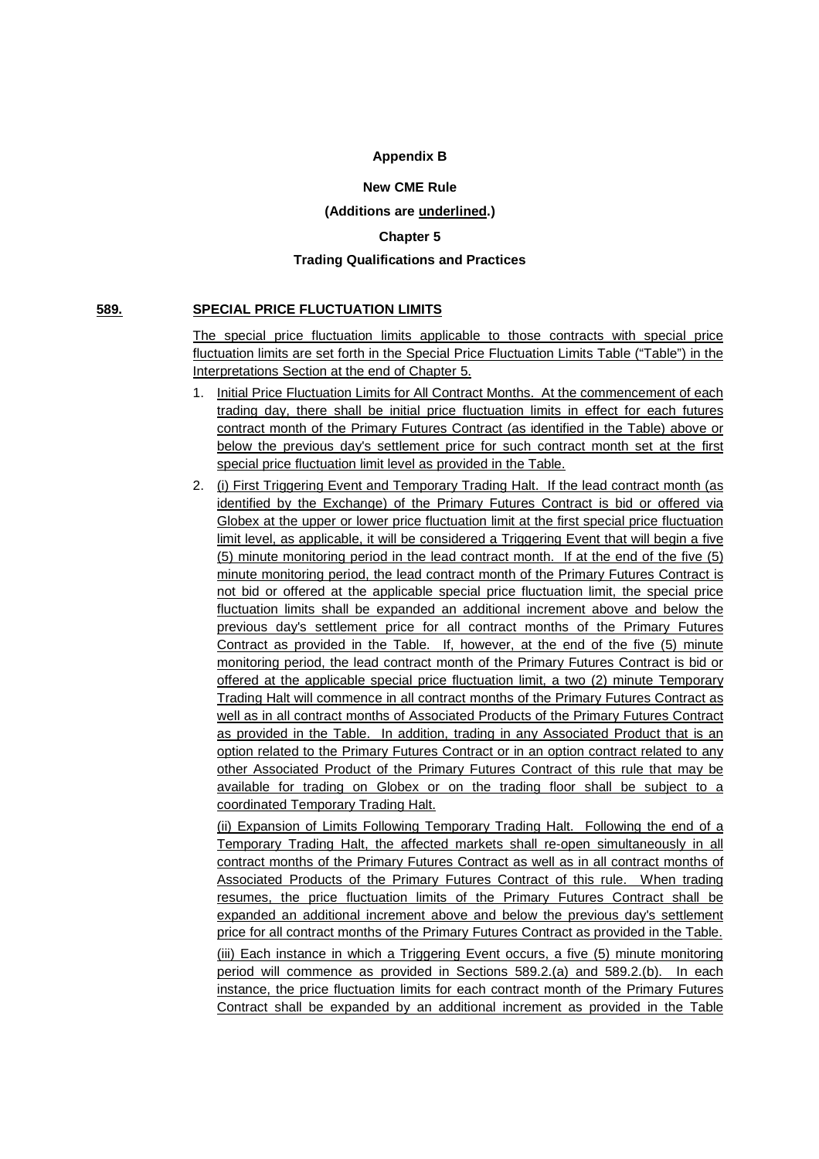# **Appendix B**

## **New CME Rule**

# **(Additions are underlined.)**

# **Chapter 5**

## **Trading Qualifications and Practices**

## **589. SPECIAL PRICE FLUCTUATION LIMITS**

The special price fluctuation limits applicable to those contracts with special price fluctuation limits are set forth in the Special Price Fluctuation Limits Table ("Table") in the Interpretations Section at the end of Chapter 5.

- 1. Initial Price Fluctuation Limits for All Contract Months. At the commencement of each trading day, there shall be initial price fluctuation limits in effect for each futures contract month of the Primary Futures Contract (as identified in the Table) above or below the previous day's settlement price for such contract month set at the first special price fluctuation limit level as provided in the Table.
- 2. (i) First Triggering Event and Temporary Trading Halt. If the lead contract month (as identified by the Exchange) of the Primary Futures Contract is bid or offered via Globex at the upper or lower price fluctuation limit at the first special price fluctuation limit level, as applicable, it will be considered a Triggering Event that will begin a five (5) minute monitoring period in the lead contract month. If at the end of the five (5) minute monitoring period, the lead contract month of the Primary Futures Contract is not bid or offered at the applicable special price fluctuation limit, the special price fluctuation limits shall be expanded an additional increment above and below the previous day's settlement price for all contract months of the Primary Futures Contract as provided in the Table. If, however, at the end of the five (5) minute monitoring period, the lead contract month of the Primary Futures Contract is bid or offered at the applicable special price fluctuation limit, a two (2) minute Temporary Trading Halt will commence in all contract months of the Primary Futures Contract as well as in all contract months of Associated Products of the Primary Futures Contract as provided in the Table. In addition, trading in any Associated Product that is an option related to the Primary Futures Contract or in an option contract related to any other Associated Product of the Primary Futures Contract of this rule that may be available for trading on Globex or on the trading floor shall be subject to a coordinated Temporary Trading Halt.

(ii) Expansion of Limits Following Temporary Trading Halt. Following the end of a Temporary Trading Halt, the affected markets shall re-open simultaneously in all contract months of the Primary Futures Contract as well as in all contract months of Associated Products of the Primary Futures Contract of this rule. When trading resumes, the price fluctuation limits of the Primary Futures Contract shall be expanded an additional increment above and below the previous day's settlement price for all contract months of the Primary Futures Contract as provided in the Table.

(iii) Each instance in which a Triggering Event occurs, a five (5) minute monitoring period will commence as provided in Sections 589.2.(a) and 589.2.(b). In each instance, the price fluctuation limits for each contract month of the Primary Futures Contract shall be expanded by an additional increment as provided in the Table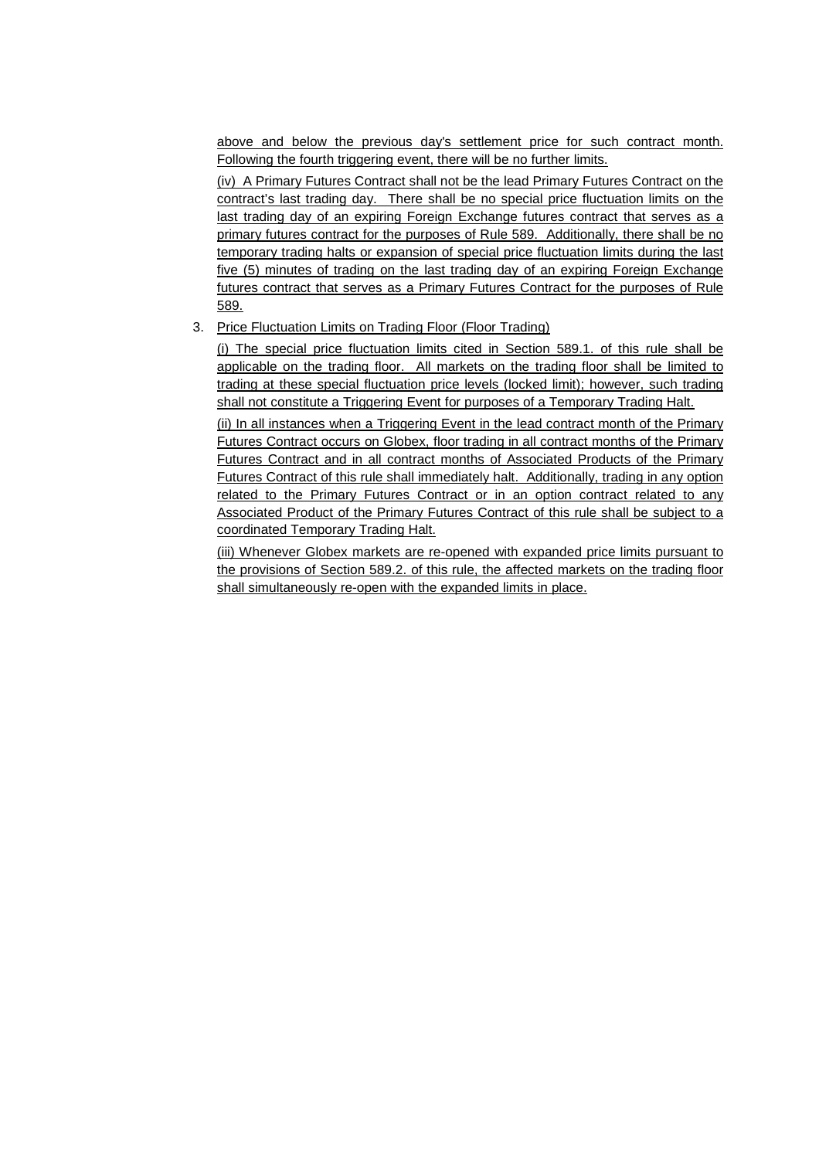above and below the previous day's settlement price for such contract month. Following the fourth triggering event, there will be no further limits.

(iv) A Primary Futures Contract shall not be the lead Primary Futures Contract on the contract's last trading day. There shall be no special price fluctuation limits on the last trading day of an expiring Foreign Exchange futures contract that serves as a primary futures contract for the purposes of Rule 589. Additionally, there shall be no temporary trading halts or expansion of special price fluctuation limits during the last five (5) minutes of trading on the last trading day of an expiring Foreign Exchange futures contract that serves as a Primary Futures Contract for the purposes of Rule 589.

# 3. Price Fluctuation Limits on Trading Floor (Floor Trading)

(i) The special price fluctuation limits cited in Section 589.1. of this rule shall be applicable on the trading floor. All markets on the trading floor shall be limited to trading at these special fluctuation price levels (locked limit); however, such trading shall not constitute a Triggering Event for purposes of a Temporary Trading Halt.

(ii) In all instances when a Triggering Event in the lead contract month of the Primary Futures Contract occurs on Globex, floor trading in all contract months of the Primary Futures Contract and in all contract months of Associated Products of the Primary Futures Contract of this rule shall immediately halt. Additionally, trading in any option related to the Primary Futures Contract or in an option contract related to any Associated Product of the Primary Futures Contract of this rule shall be subject to a coordinated Temporary Trading Halt.

(iii) Whenever Globex markets are re-opened with expanded price limits pursuant to the provisions of Section 589.2. of this rule, the affected markets on the trading floor shall simultaneously re-open with the expanded limits in place.